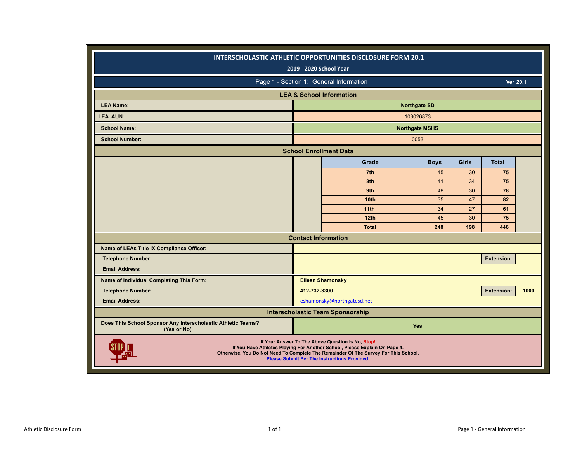|                                                                             |              | INTERSCHOLASTIC ATHLETIC OPPORTUNITIES DISCLOSURE FORM 20.1                                                                                                                                                                                                                   |             |              |                   |      |
|-----------------------------------------------------------------------------|--------------|-------------------------------------------------------------------------------------------------------------------------------------------------------------------------------------------------------------------------------------------------------------------------------|-------------|--------------|-------------------|------|
|                                                                             |              | 2019 - 2020 School Year                                                                                                                                                                                                                                                       |             |              |                   |      |
|                                                                             |              | Page 1 - Section 1: General Information                                                                                                                                                                                                                                       |             |              | Ver 20.1          |      |
|                                                                             |              | <b>LEA &amp; School Information</b>                                                                                                                                                                                                                                           |             |              |                   |      |
| <b>LEA Name:</b>                                                            |              | <b>Northgate SD</b>                                                                                                                                                                                                                                                           |             |              |                   |      |
| <b>LEA AUN:</b>                                                             |              | 103026873                                                                                                                                                                                                                                                                     |             |              |                   |      |
| <b>School Name:</b>                                                         |              | <b>Northgate MSHS</b>                                                                                                                                                                                                                                                         |             |              |                   |      |
| <b>School Number:</b>                                                       |              | 0053                                                                                                                                                                                                                                                                          |             |              |                   |      |
|                                                                             |              | <b>School Enrollment Data</b>                                                                                                                                                                                                                                                 |             |              |                   |      |
|                                                                             |              | Grade                                                                                                                                                                                                                                                                         | <b>Boys</b> | <b>Girls</b> | <b>Total</b>      |      |
|                                                                             |              | 7th                                                                                                                                                                                                                                                                           | 45          | 30           | 75                |      |
|                                                                             |              | 8th                                                                                                                                                                                                                                                                           | 41          | 34           | 75                |      |
|                                                                             |              | 9th                                                                                                                                                                                                                                                                           | 48          | 30           | 78                |      |
|                                                                             |              | <b>10th</b>                                                                                                                                                                                                                                                                   | 35          | 47           | 82                |      |
|                                                                             |              | 11 <sub>th</sub>                                                                                                                                                                                                                                                              | 34          | 27           | 61                |      |
|                                                                             |              | 12 <sub>th</sub>                                                                                                                                                                                                                                                              | 45          | 30           | 75                |      |
|                                                                             |              | <b>Total</b>                                                                                                                                                                                                                                                                  | 248         | 198          | 446               |      |
|                                                                             |              | <b>Contact Information</b>                                                                                                                                                                                                                                                    |             |              |                   |      |
| Name of LEAs Title IX Compliance Officer:                                   |              |                                                                                                                                                                                                                                                                               |             |              |                   |      |
| <b>Telephone Number:</b>                                                    |              |                                                                                                                                                                                                                                                                               |             |              | <b>Extension:</b> |      |
| <b>Email Address:</b>                                                       |              |                                                                                                                                                                                                                                                                               |             |              |                   |      |
| Name of Individual Completing This Form:                                    |              | <b>Eileen Shamonsky</b>                                                                                                                                                                                                                                                       |             |              |                   |      |
| <b>Telephone Number:</b>                                                    | 412-732-3300 |                                                                                                                                                                                                                                                                               |             |              | <b>Extension:</b> | 1000 |
| <b>Email Address:</b>                                                       |              | eshamonsky@northgatesd.net                                                                                                                                                                                                                                                    |             |              |                   |      |
|                                                                             |              | <b>Interscholastic Team Sponsorship</b>                                                                                                                                                                                                                                       |             |              |                   |      |
| Does This School Sponsor Any Interscholastic Athletic Teams?<br>(Yes or No) |              | Yes                                                                                                                                                                                                                                                                           |             |              |                   |      |
|                                                                             |              | If Your Answer To The Above Question Is No, Stop!<br>If You Have Athletes Playing For Another School, Please Explain On Page 4.<br>Otherwise, You Do Not Need To Complete The Remainder Of The Survey For This School.<br><b>Please Submit Per The Instructions Provided.</b> |             |              |                   |      |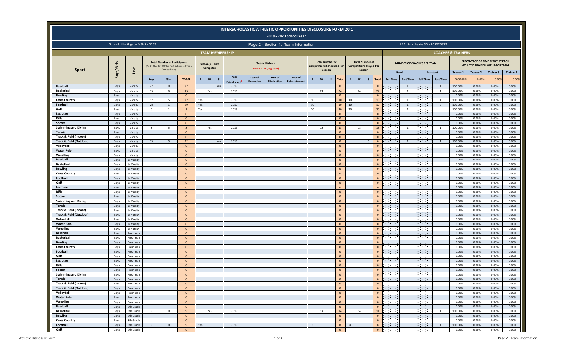|                                                              |              |                               |                         |                                                                                                   |                              |            |                                   |          |                        |                 |                                                   | <b>INTERSCHOLASTIC ATHLETIC OPPORTUNITIES DISCLOSURE FORM 20.1</b><br>2019 - 2020 School Year |          |                                                                       |                                                    |          |        |                                                          |                                |                                                           |                          |                                                            |                  |                               |                           |                                                                     |                           |
|--------------------------------------------------------------|--------------|-------------------------------|-------------------------|---------------------------------------------------------------------------------------------------|------------------------------|------------|-----------------------------------|----------|------------------------|-----------------|---------------------------------------------------|-----------------------------------------------------------------------------------------------|----------|-----------------------------------------------------------------------|----------------------------------------------------|----------|--------|----------------------------------------------------------|--------------------------------|-----------------------------------------------------------|--------------------------|------------------------------------------------------------|------------------|-------------------------------|---------------------------|---------------------------------------------------------------------|---------------------------|
|                                                              |              | School: Northgate MSHS - 0053 |                         |                                                                                                   |                              |            |                                   |          |                        |                 |                                                   | Page 2 - Section 1: Team Information                                                          |          |                                                                       |                                                    |          |        |                                                          |                                |                                                           |                          | LEA: Northgate SD - 103026873                              |                  |                               |                           |                                                                     |                           |
|                                                              |              |                               |                         |                                                                                                   |                              |            |                                   |          | <b>TEAM MEMBERSHIP</b> |                 |                                                   |                                                                                               |          |                                                                       |                                                    |          |        |                                                          |                                |                                                           |                          |                                                            |                  | <b>COACHES &amp; TRAINERS</b> |                           |                                                                     |                           |
| <b>Sport</b>                                                 | Boys/Girls   | $\overline{\bullet}$          |                         | <b>Total Number of Participants</b><br>(As Of The Day Of The First Scheduled Team<br>Competition) |                              |            | Season(s) Team<br><b>Competes</b> |          |                        |                 | <b>Team History</b><br>(Format = YYYY, e.g. 1955) |                                                                                               |          | <b>Total Number of</b><br><b>Competitions Scheduled Per</b><br>Season |                                                    |          | Season | <b>Total Number of</b><br><b>Competitions Played Per</b> |                                |                                                           |                          | <b>NUMBER OF COACHES PER TEAM</b>                          |                  |                               |                           | PERCENTAGE OF TIME SPENT BY EACH<br>ATHLETIC TRAINER WITH EACH TEAM |                           |
|                                                              |              |                               | <b>Boys</b>             | Girls                                                                                             | <b>TOTAL</b>                 | F.         | W                                 | <b>S</b> | Year                   | Year of         | Year of                                           | Year of                                                                                       |          | $\mathbf{w}$<br>s                                                     | Total                                              | F        | W      | s                                                        | <b>Total</b>                   | <b>Full Time</b>                                          | Head<br><b>Part Time</b> | <b>Assistant</b><br><b>Full Time</b>                       | <b>Part Time</b> | <b>Trainer 1</b><br>2000.009  | <b>Trainer 2</b><br>0.00% | <b>Trainer 3</b><br>0.009                                           | <b>Trainer 4</b><br>0.00% |
| <b>Baseball</b>                                              | Boys         | Varsity                       | 22                      | $\Omega$                                                                                          | 22                           |            |                                   | Yes      | stablishe<br>2019      | <b>Demotion</b> | Elimination                                       | Reinstatement                                                                                 |          |                                                                       | $\overline{0}$                                     |          |        | $\mathbf{0}$                                             | $\mathbf{0}$                   | $\sim 10^{11}$                                            | $\overline{1}$           | e e c                                                      | 1                | 100.00%                       | 0.00%                     | 0.00%                                                               | 0.00%                     |
| <b>Basketball</b>                                            | Boys         | Varsity                       | 15                      | $\mathbf{0}$                                                                                      | 15                           |            | Yes                               |          | 2019                   |                 |                                                   |                                                                                               |          | 24                                                                    | 24                                                 |          | 24     |                                                          | 24                             | $\sim 100$ m $^{-1}$                                      | $\overline{1}$           | <b>Contract</b>                                            | $\overline{1}$   | 100.00%                       | 0.00%                     | 0.00%                                                               | 0.00%                     |
| <b>Bowling</b>                                               | Boys         | Varsity                       |                         |                                                                                                   | $\mathbf{0}$                 |            |                                   |          |                        |                 |                                                   |                                                                                               |          |                                                                       | $\overline{\mathbf{0}}$                            |          |        |                                                          | $\mathbf{0}$                   | <b>Contract</b>                                           |                          | $\sim 10^{11}$ m $^{-1}$                                   |                  | 0.00%                         | 0.00%                     | 0.00%                                                               | 0.00%                     |
| <b>Cross Country</b>                                         | Boys         | Varsity                       | 17                      | -5                                                                                                | 22                           | Yes        |                                   |          | 2019                   |                 |                                                   |                                                                                               | 10       |                                                                       | 10                                                 | 10       |        |                                                          | 10                             | $\sim 100$ m $^{-1}$                                      | <sup>1</sup>             | $\sim 100$ m $^{-1}$                                       | $\overline{1}$   | 100.00%                       | 0.00%                     | 0.00%                                                               | 0.00%                     |
| Football<br>Golf                                             | Boys<br>Boys | Varsity                       | 28<br>$\overline{0}$    | 1<br>-1                                                                                           | 29<br>1                      | Yes<br>Yes |                                   |          | 2019<br>2019           |                 |                                                   |                                                                                               | 10<br>20 |                                                                       | 10<br>20                                           | 10<br>20 |        |                                                          | $10\,$<br>$20\,$               | <b>Contract</b><br><b>Contract Contract</b>               | 1<br>1                   | <b>Contract Contract</b><br>$\sim 100$                     | $\overline{3}$   | 100.00%<br>100.00%            | 0.00%<br>0.00%            | 0.00%<br>0.00%                                                      | 0.00%<br>0.00%            |
| Lacrosse                                                     | Boys         | Varsity<br>Varsity            |                         |                                                                                                   | $\mathbf{0}$                 |            |                                   |          |                        |                 |                                                   |                                                                                               |          |                                                                       | $\overline{0}$                                     |          |        |                                                          | $\Omega$                       |                                                           |                          | $\sim 10$                                                  |                  | 0.00%                         | 0.00%                     | 0.00%                                                               | 0.00%                     |
| Rifle                                                        | Boys         | Varsity                       |                         |                                                                                                   | $\overline{0}$               |            |                                   |          |                        |                 |                                                   |                                                                                               |          |                                                                       | $\overline{0}$                                     |          |        |                                                          | $\overline{0}$                 | <b>Contract Contract</b>                                  |                          | <b>Contract</b>                                            |                  | 0.00%                         | 0.00%                     | 0.00%                                                               | 0.00%                     |
| Soccer                                                       | Boys         | Varsity                       |                         |                                                                                                   | $\mathbf{0}$                 |            |                                   |          |                        |                 |                                                   |                                                                                               |          |                                                                       | $\overline{0}$                                     |          |        |                                                          | $\mathbf{0}$                   | <u>a sa sa</u>                                            |                          | <u>a sa sa</u>                                             |                  | 0.00%                         | 0.00%                     | 0.00%                                                               | 0.00%                     |
| <b>Swimming and Diving</b>                                   | Boys         | Varsity                       | $\overline{\mathbf{3}}$ | -5                                                                                                |                              |            | Yes                               |          | 2019                   |                 |                                                   |                                                                                               |          | 13                                                                    | 13                                                 |          | 13     |                                                          | 13                             | $\sim 100$ m $^{-1}$                                      | 1                        | <b>Contract</b>                                            | $\overline{1}$   | 100.00%                       | 0.00%                     | 0.00%                                                               | 0.00%                     |
| <b>Tennis</b>                                                | Boys         | Varsity                       |                         |                                                                                                   | $\mathbf{0}$                 |            |                                   |          |                        |                 |                                                   |                                                                                               |          |                                                                       | $\overline{\mathbf{0}}$                            |          |        |                                                          | $\mathbf{0}$                   | $\sim 10^{11}$ m $^{-1}$                                  |                          | $\sim 10^{11}$ m $^{-1}$                                   |                  | 0.00%                         | 0.00%                     | 0.00%                                                               | 0.00%                     |
| Track & Field (Indoor)<br><b>Track &amp; Field (Outdoor)</b> | Boys<br>Boys | Varsity<br>Varsity            | 13                      | $\mathbf{q}$                                                                                      | $\Omega$<br>22               |            |                                   | Yes      | 2019                   |                 |                                                   |                                                                                               |          |                                                                       | $\overline{0}$<br>$\overline{\mathbf{0}}$          |          |        | $\overline{0}$                                           | $\mathbf{0}$<br>$\mathbf{0}$   | $\sim 100$ km s $^{-1}$<br>$\sim 100$                     | $\mathbf{1}$             | $\sim 100$<br>$\sim 100$                                   | 1                | 0.00%<br>100.00%              | 0.00%<br>0.00%            | 0.00%<br>0.00%                                                      | 0.00%<br>0.00%            |
| Volleyball                                                   | Boys         | Varsity                       |                         |                                                                                                   | $\mathbf{0}$                 |            |                                   |          |                        |                 |                                                   |                                                                                               |          |                                                                       | $\overline{\mathbf{0}}$                            |          |        |                                                          | $\overline{0}$                 | <b>Contract Contract</b>                                  |                          | <b>Contract</b>                                            |                  | 0.00%                         | 0.00%                     | 0.00%                                                               | 0.00%                     |
| <b>Water Polo</b>                                            | Boys         | Varsity                       |                         |                                                                                                   | $\Omega$                     |            |                                   |          |                        |                 |                                                   |                                                                                               |          |                                                                       | $\overline{0}$                                     |          |        |                                                          | $\Omega$                       | $\mathcal{L}^{\text{max}}_{\text{max}}$                   |                          | राजन                                                       |                  | 0.00%                         | 0.00%                     | 0.00%                                                               | 0.00%                     |
| Wrestling                                                    | Boys         | Varsity                       |                         |                                                                                                   | $\Omega$                     |            |                                   |          |                        |                 |                                                   |                                                                                               |          |                                                                       | $\overline{\mathbf{0}}$                            |          |        |                                                          | $\Omega$                       | <b>Contract</b>                                           |                          | $\sim 100$ m $^{-1}$                                       |                  | 0.00%                         | 0.00%                     | 0.00%                                                               | 0.00%                     |
| <b>Baseball</b>                                              | Boys         | Jr Varsity                    |                         |                                                                                                   | $\mathbf{0}$                 |            |                                   |          |                        |                 |                                                   |                                                                                               |          |                                                                       | $\overline{\mathbf{0}}$                            |          |        |                                                          | $\mathbf{0}$                   | <b>Contract</b>                                           |                          | an ing Pa                                                  |                  | 0.00%                         | 0.00%                     | 0.00%                                                               | 0.00%                     |
| <b>Basketball</b>                                            | Boys         | Jr Varsity                    |                         |                                                                                                   | $\mathbf{0}$                 |            |                                   |          |                        |                 |                                                   |                                                                                               |          |                                                                       | $\overline{0}$                                     |          |        |                                                          | $\mathbf{0}$                   | $\mathcal{L}_{\rm{max}}$ .                                |                          | <u>a sa sa</u>                                             |                  | 0.00%                         | 0.00%                     | 0.00%                                                               | 0.00%                     |
| <b>Bowling</b>                                               | Boys         | Jr Varsity                    |                         |                                                                                                   | $\Omega$                     |            |                                   |          |                        |                 |                                                   |                                                                                               |          |                                                                       | $\mathbf 0$                                        |          |        |                                                          | $\Omega$                       | <b>Contract</b>                                           |                          | <b>Contract</b><br>$\sim 10^{11}$ m $^{-1}$                |                  | 0.00%                         | 0.00%                     | 0.00%                                                               | 0.00%<br>0.00%            |
| <b>Cross Country</b><br>Football                             | Boys<br>Boys | Jr Varsity<br>Jr Varsity      |                         |                                                                                                   | $\mathbf{0}$<br>$\mathbf{0}$ |            |                                   |          |                        |                 |                                                   |                                                                                               |          |                                                                       | $\overline{\mathbf{0}}$<br>$\overline{\mathbf{0}}$ |          |        |                                                          | $\overline{0}$<br>$\mathbf{0}$ | <b>Contract</b><br>$\sim 10^{11}$ m $^{-1}$               |                          | <u>ana</u>                                                 |                  | 0.00%<br>0.00%                | 0.00%<br>0.00%            | 0.00%<br>0.00%                                                      | 0.00%                     |
| Golf                                                         | Boys         | Jr Varsity                    |                         |                                                                                                   | $\overline{0}$               |            |                                   |          |                        |                 |                                                   |                                                                                               |          |                                                                       | $\overline{\mathbf{0}}$                            |          |        |                                                          | $\overline{0}$                 | $\sim 10^{11}$ m $^{-1}$                                  |                          | $\sim$ $\sim$                                              |                  | 0.00%                         | 0.00%                     | 0.00%                                                               | 0.00%                     |
| Lacrosse                                                     | Boys         | Jr Varsity                    |                         |                                                                                                   | $\mathbf{0}$                 |            |                                   |          |                        |                 |                                                   |                                                                                               |          |                                                                       | $\mathbf{0}$                                       |          |        |                                                          | $\mathbf{0}$                   | $\sim 10^{11}$ m $^{-1}$                                  |                          | $\sim 10^{11}$ m $^{-1}$                                   |                  | 0.00%                         | 0.00%                     | 0.00%                                                               | 0.00%                     |
| Rifle                                                        | Boys         | Jr Varsity                    |                         |                                                                                                   | $\mathbf{0}$                 |            |                                   |          |                        |                 |                                                   |                                                                                               |          |                                                                       | $\overline{\mathbf{0}}$                            |          |        |                                                          | $\mathbf{0}$                   | $\sim 10^{11}$ m $^{-1}$                                  |                          | $\sim 100$                                                 |                  | 0.00%                         | 0.00%                     | 0.00%                                                               | 0.00%                     |
| Soccer                                                       | Boys         | Jr Varsity                    |                         |                                                                                                   | $\mathbf{0}$                 |            |                                   |          |                        |                 |                                                   |                                                                                               |          |                                                                       | $\overline{\mathbf{0}}$                            |          |        |                                                          | $\mathbf{0}$                   | <b>The Co</b>                                             |                          | <b>Contract</b>                                            |                  | 0.00%                         | 0.00%                     | 0.00%                                                               | 0.00%                     |
| <b>Swimming and Diving</b>                                   | Boys         | Jr Varsity                    |                         |                                                                                                   | $\Omega$                     |            |                                   |          |                        |                 |                                                   |                                                                                               |          |                                                                       | $\mathbf{0}$                                       |          |        |                                                          | $\mathbf{0}$                   | $\sim 10^{11}$ m $^{-1}$                                  |                          | <b>Contract</b>                                            |                  | 0.00%                         | 0.00%                     | 0.00%                                                               | 0.00%                     |
| <b>Tennis</b><br>Track & Field (Indoor)                      | Boys<br>Boys | Jr Varsity<br>Jr Varsity      |                         |                                                                                                   | $\mathbf{0}$<br>$\mathbf{0}$ |            |                                   |          |                        |                 |                                                   |                                                                                               |          |                                                                       | $\overline{\mathbf{0}}$<br>$\overline{\mathbf{0}}$ |          |        |                                                          | $\mathbf{0}$<br>$\mathbf{0}$   | $\sim 100$<br><b>Contract Contract</b>                    |                          | an di Se                                                   |                  | 0.00%<br>0.00%                | 0.00%<br>0.00%            | 0.00%<br>0.00%                                                      | 0.00%<br>0.00%            |
| Track & Field (Outdoor)                                      | Boys         | Jr Varsity                    |                         |                                                                                                   | $\Omega$                     |            |                                   |          |                        |                 |                                                   |                                                                                               |          |                                                                       | $\overline{0}$                                     |          |        |                                                          | $\Omega$                       | $\sim 10^{11}$ m $^{-1}$                                  |                          | $\sim 10^{11}$ m $^{-1}$                                   |                  | 0.00%                         | 0.00%                     | 0.00%                                                               | 0.00%                     |
| Volleyball                                                   | Boys         | Jr Varsity                    |                         |                                                                                                   | $\Omega$                     |            |                                   |          |                        |                 |                                                   |                                                                                               |          |                                                                       | $\overline{\mathbf{0}}$                            |          |        |                                                          | $\Omega$                       | $\sim 100$ km s $^{-1}$                                   |                          | $\sim 100$ km s $^{-1}$                                    |                  | 0.00%                         | 0.00%                     | 0.00%                                                               | 0.00%                     |
| <b>Water Polo</b>                                            | Boys         | Jr Varsity                    |                         |                                                                                                   | $\mathbf{0}$                 |            |                                   |          |                        |                 |                                                   |                                                                                               |          |                                                                       | $\overline{\mathbf{0}}$                            |          |        |                                                          | $\mathbf{0}$                   | <b>Contract</b>                                           |                          | in the control                                             |                  | 0.00%                         | 0.00%                     | 0.00%                                                               | 0.00%                     |
| Wrestling                                                    | Boys         | Jr Varsity                    |                         |                                                                                                   | $\Omega$                     |            |                                   |          |                        |                 |                                                   |                                                                                               |          |                                                                       | $\overline{0}$                                     |          |        |                                                          | $\Omega$                       |                                                           |                          | $\sim 100$                                                 |                  | 0.00%                         | 0.00%                     | 0.00%                                                               | 0.00%                     |
| <b>Baseball</b>                                              | Boys         | Freshman                      |                         |                                                                                                   | $\Omega$                     |            |                                   |          |                        |                 |                                                   |                                                                                               |          |                                                                       | $\overline{0}$                                     |          |        |                                                          | $\Omega$                       | <b>The Contract</b>                                       |                          | <b>Contract</b>                                            |                  | 0.00%                         | 0.00%                     | 0.00%                                                               | 0.00%                     |
| <b>Basketball</b><br><b>Bowling</b>                          | Boys<br>Boys | Freshman<br>Freshman          |                         |                                                                                                   | $\mathbf{0}$<br>$\Omega$     |            |                                   |          |                        |                 |                                                   |                                                                                               |          |                                                                       | $\overline{\mathbf{0}}$<br>$\overline{\mathbf{0}}$ |          |        |                                                          | $\mathbf{0}$<br>$\Omega$       | $\sim 100$ m $^{-1}$<br>$\sim 10^{11}$ m $^{-1}$          |                          | <u>a sa sa</u><br>$\sim 10^{11}$ m $^{-1}$                 |                  | 0.00%<br>0.00%                | 0.00%<br>0.00%            | 0.00%<br>0.00%                                                      | 0.00%<br>0.00%            |
| <b>Cross Country</b>                                         | Boys         | Freshman                      |                         |                                                                                                   | $\overline{0}$               |            |                                   |          |                        |                 |                                                   |                                                                                               |          |                                                                       | $\overline{\mathbf{0}}$                            |          |        |                                                          | $\overline{0}$                 | $\sim 10^{11}$ m $^{-1}$                                  |                          | $\sim 100$ km s $^{-1}$                                    |                  | 0.00%                         | 0.00%                     | 0.00%                                                               | 0.00%                     |
| Football                                                     | Boys         | Freshman                      |                         |                                                                                                   | $\mathbf{0}$                 |            |                                   |          |                        |                 |                                                   |                                                                                               |          |                                                                       | $\mathbf 0$                                        |          |        |                                                          | $\mathbf{0}$                   | $\sim 10^{11}$ m $^{-1}$                                  |                          | $\sim 10^{11}$ m $^{-1}$                                   |                  | 0.00%                         | 0.00%                     | 0.00%                                                               | 0.00%                     |
| Golf                                                         | Boys         | Freshman                      |                         |                                                                                                   | $\mathbf{0}$                 |            |                                   |          |                        |                 |                                                   |                                                                                               |          |                                                                       | $\overline{\mathbf{0}}$                            |          |        |                                                          | $\mathbf{0}$                   | $\mathcal{L}_{\mathcal{A}}$ , $\mathcal{L}_{\mathcal{A}}$ |                          | $\sim 100$                                                 |                  | 0.00%                         | 0.00%                     | 0.00%                                                               | 0.00%                     |
| Lacrosse                                                     | Boys         | Freshman                      |                         |                                                                                                   | $\overline{0}$               |            |                                   |          |                        |                 |                                                   |                                                                                               |          |                                                                       | $\overline{0}$                                     |          |        |                                                          | $\overline{0}$                 | <b>Contract</b>                                           |                          | $\sim 100$ m $^{-1}$                                       |                  | 0.00%                         | 0.00%                     | 0.00%                                                               | 0.00%                     |
| Rifle                                                        | Boys         | Freshman                      |                         |                                                                                                   | $\Omega$                     |            |                                   |          |                        |                 |                                                   |                                                                                               |          |                                                                       | $\overline{0}$                                     |          |        |                                                          | $\mathbf{0}$                   | <b>Contract</b>                                           |                          | <b>Contract</b>                                            |                  | 0.00%                         | 0.00%                     | 0.00%                                                               | 0.00%                     |
| Soccer                                                       | Boys         | Freshman                      |                         |                                                                                                   | $\Omega$                     |            |                                   |          |                        |                 |                                                   |                                                                                               |          |                                                                       | $\overline{\mathbf{0}}$                            |          |        |                                                          | $\mathbf{0}$                   | $\sim 10^{11}$ m $^{-1}$                                  |                          | $\sim 10^{11}$ m $^{-1}$                                   |                  | 0.00%                         | 0.00%                     | 0.00%                                                               | 0.00%                     |
| <b>Swimming and Diving</b><br><b>Tennis</b>                  | Boys<br>Boys | Freshman<br>Freshman          |                         |                                                                                                   | $\mathbf{0}$<br>$\Omega$     |            |                                   |          |                        |                 |                                                   |                                                                                               |          |                                                                       | $\overline{\mathbf{0}}$<br>$\overline{0}$          |          |        |                                                          | $\mathbf{0}$<br>$\mathbf{0}$   | <b>Contract Contract</b><br><b>Contract</b>               |                          | <b>Contract Contract</b><br>$\sim 10^{11}$ m $^{-1}$       |                  | 0.00%<br>0.00%                | 0.00%<br>0.00%            | 0.00%<br>0.00%                                                      | 0.00%<br>0.00%            |
| Track & Field (Indoor)                                       | Boys         | Freshman                      |                         |                                                                                                   | $\mathbf{0}$                 |            |                                   |          |                        |                 |                                                   |                                                                                               |          |                                                                       | $\mathbf 0$                                        |          |        |                                                          | $\overline{0}$                 |                                                           |                          |                                                            |                  | 0.00%                         | 0.00%                     | 0.00%                                                               | 0.00%                     |
| <b>Track &amp; Field (Outdoor)</b>                           | Boys         | Freshman                      |                         |                                                                                                   | $\overline{0}$               |            |                                   |          |                        |                 |                                                   |                                                                                               |          |                                                                       | $\overline{0}$                                     |          |        |                                                          | $\overline{0}$                 | <b>Barbara</b>                                            |                          | <b>Barbara</b>                                             |                  | 0.00%                         | 0.00%                     | 0.00%                                                               | 0.00%                     |
| Volleyball                                                   | Boys         | Freshman                      |                         |                                                                                                   | $\overline{0}$               |            |                                   |          |                        |                 |                                                   |                                                                                               |          |                                                                       | $\overline{0}$                                     |          |        |                                                          | $\overline{0}$                 | <u>i Tanzania a</u>                                       |                          | F                                                          |                  | 0.00%                         | 0.00%                     | 0.00%                                                               | 0.00%                     |
| <b>Water Polo</b>                                            | Boys         | Freshman                      |                         |                                                                                                   | $\mathbf{0}$                 |            |                                   |          |                        |                 |                                                   |                                                                                               |          |                                                                       | $\mathbf 0$                                        |          |        |                                                          | $\overline{0}$                 | <u>hama</u>                                               |                          |                                                            |                  | 0.00%                         | 0.00%                     | 0.00%                                                               | 0.00%                     |
| Wrestling                                                    | Boys         | Freshman                      |                         |                                                                                                   | $\overline{0}$               |            |                                   |          |                        |                 |                                                   |                                                                                               |          |                                                                       | $\overline{0}$                                     |          |        |                                                          | $\overline{0}$                 | <b>Barbara</b>                                            |                          |                                                            |                  | 0.00%                         | 0.00%                     | 0.00%                                                               | 0.00%                     |
| <b>Baseball</b><br><b>Basketball</b>                         | Boys         | 8th Grade                     | -9                      | $\overline{0}$                                                                                    | $\overline{0}$<br>9          |            |                                   |          | 2019                   |                 |                                                   |                                                                                               |          | 14                                                                    | $\overline{\mathbf{0}}$<br>14                      |          | 14     |                                                          | $\overline{0}$<br>14           | <b>Contract</b>                                           |                          | $\mathcal{L}^{\text{max}}_{\text{max}}$<br><b>Contract</b> | $\mathbf{1}$     | 0.00%<br>100.00%              | 0.00%<br>0.00%            | 0.00%<br>0.00%                                                      | 0.00%<br>0.00%            |
| <b>Bowling</b>                                               | Boys<br>Boys | 8th Grade<br>8th Grade        |                         |                                                                                                   | $\overline{0}$               |            | Yes                               |          |                        |                 |                                                   |                                                                                               |          |                                                                       | $\overline{\mathbf{0}}$                            |          |        |                                                          | $\overline{0}$                 | $\mathbb{R}$ . The set of $\mathbb{R}$                    |                          | $\mathbb{R}^n$                                             |                  | 0.00%                         | 0.00%                     | 0.00%                                                               | 0.00%                     |
| <b>Cross Country</b>                                         | Boys         | 8th Grade                     |                         |                                                                                                   | $\overline{0}$               |            |                                   |          |                        |                 |                                                   |                                                                                               |          |                                                                       | $\overline{\mathbf{0}}$                            |          |        |                                                          | $\overline{0}$                 | $\Box$                                                    |                          |                                                            |                  | 0.00%                         | 0.00%                     | 0.00%                                                               | 0.00%                     |
| Football                                                     | Boys         | 8th Grade                     | 9                       | $\overline{0}$                                                                                    | 9                            | Yes        |                                   |          | 2019                   |                 |                                                   |                                                                                               | 8        |                                                                       | 8                                                  | 8        |        |                                                          | 8                              | <u>istori</u>                                             |                          | F                                                          | $\mathbf{1}$     | 100.00%                       | 0.00%                     | 0.00%                                                               | 0.00%                     |
| Golf                                                         | Boys         | 8th Grade                     |                         |                                                                                                   | $\overline{0}$               |            |                                   |          |                        |                 |                                                   |                                                                                               |          |                                                                       | $\mathbf 0$                                        |          |        |                                                          | $\overline{0}$                 | lla a ser                                                 |                          | <b>Report</b>                                              |                  | 0.00%                         | 0.00%                     | 0.00%                                                               | 0.00%                     |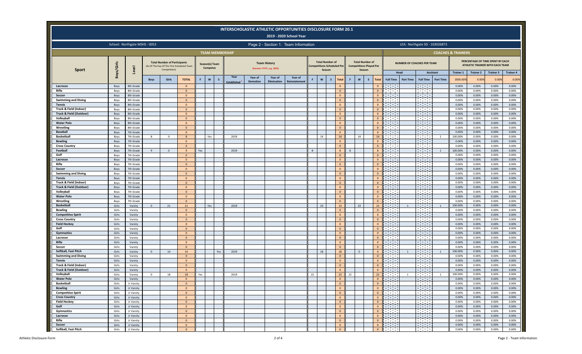|                                                    |                |                               |                |                                                                                                   |                                  |     |                                   |                        |                 |                                                  | <b>INTERSCHOLASTIC ATHLETIC OPPORTUNITIES DISCLOSURE FORM 20.1</b><br>2019 - 2020 School Year |                                   |                                  |                                                    |                                |                                  |                                  |                                             |                          |                                            |                  |                               |                           |                                                                     |                           |
|----------------------------------------------------|----------------|-------------------------------|----------------|---------------------------------------------------------------------------------------------------|----------------------------------|-----|-----------------------------------|------------------------|-----------------|--------------------------------------------------|-----------------------------------------------------------------------------------------------|-----------------------------------|----------------------------------|----------------------------------------------------|--------------------------------|----------------------------------|----------------------------------|---------------------------------------------|--------------------------|--------------------------------------------|------------------|-------------------------------|---------------------------|---------------------------------------------------------------------|---------------------------|
|                                                    |                | School: Northgate MSHS - 0053 |                |                                                                                                   |                                  |     |                                   |                        |                 |                                                  | Page 2 - Section 1: Team Information                                                          |                                   |                                  |                                                    |                                |                                  |                                  |                                             |                          | LEA: Northgate SD - 103026873              |                  |                               |                           |                                                                     |                           |
|                                                    |                |                               |                |                                                                                                   |                                  |     |                                   | <b>TEAM MEMBERSHIP</b> |                 |                                                  |                                                                                               |                                   |                                  |                                                    |                                |                                  |                                  |                                             |                          |                                            |                  | <b>COACHES &amp; TRAINERS</b> |                           |                                                                     |                           |
| <b>Sport</b>                                       | Boys/Girls     | Level                         |                | <b>Total Number of Participants</b><br>(As Of The Day Of The First Scheduled Team<br>Competition) |                                  |     | Season(s) Team<br><b>Competes</b> |                        |                 | <b>Team History</b><br>(Format =YYYY, e.g. 1955) |                                                                                               | <b>Competitions Scheduled Per</b> | <b>Total Number of</b><br>Season |                                                    | <b>Competitions Played Per</b> | <b>Total Number of</b><br>Season |                                  |                                             |                          | <b>NUMBER OF COACHES PER TEAM</b>          |                  |                               |                           | PERCENTAGE OF TIME SPENT BY EACH<br>ATHLETIC TRAINER WITH EACH TEAM |                           |
|                                                    |                |                               | <b>Boys</b>    | <b>Girls</b>                                                                                      | <b>TOTAL</b>                     | F   | $\mathbf w$<br>$\mathsf{s}$       | Year                   | Year of         | Year of                                          | Year of                                                                                       | W                                 | $\mathsf{s}$                     | Total                                              | $\mathsf{w}$<br>F              | $\mathsf{s}$                     | Total                            | <b>Full Time</b>                            | Head<br><b>Part Time</b> | Assistant<br><b>Full Time</b>              | <b>Part Time</b> | <b>Trainer 1</b><br>2000.009  | <b>Trainer 2</b><br>0.00% | <b>Trainer 3</b><br>0.009                                           | <b>Trainer 4</b><br>0.00% |
|                                                    |                |                               |                |                                                                                                   |                                  |     |                                   | stablished             | <b>Demotion</b> | Elimination                                      | Reinstatement                                                                                 |                                   |                                  |                                                    |                                |                                  |                                  | $\sim 10^{11}$                              |                          |                                            |                  |                               |                           |                                                                     |                           |
| Lacrosse<br>Rifle                                  | Boys<br>Boys   | 8th Grade<br>8th Grade        |                |                                                                                                   | $\mathbf{0}$<br>$\overline{0}$   |     |                                   |                        |                 |                                                  |                                                                                               |                                   |                                  | $\overline{0}$<br>$\overline{0}$                   |                                |                                  | $\Omega$<br>$\Omega$             | $\sim 10^{11}$ m $^{-1}$                    |                          | $\sim 10^{11}$<br><b>Contract</b>          |                  | 0.00%<br>0.00%                | 0.00%<br>0.00%            | 0.00%<br>0.00%                                                      | 0.00%<br>0.00%            |
| Soccer                                             | Boys           | 8th Grade                     |                |                                                                                                   | $\mathbf{0}$                     |     |                                   |                        |                 |                                                  |                                                                                               |                                   |                                  | $\overline{0}$                                     |                                |                                  | $\overline{0}$                   | $\sim 10^{11}$ m $^{-1}$                    |                          | $\sim 10^{11}$ m $^{-1}$                   |                  | 0.00%                         | 0.00%                     | 0.00%                                                               | 0.00%                     |
| <b>Swimming and Diving</b>                         | Boys           | 8th Grade                     |                |                                                                                                   | $\overline{0}$                   |     |                                   |                        |                 |                                                  |                                                                                               |                                   |                                  | $\overline{0}$                                     |                                |                                  | $\Omega$                         | <b>CONTRACTOR</b>                           |                          | Tana a                                     |                  | 0.00%                         | 0.00%                     | 0.00%                                                               | 0.00%                     |
| <b>Tennis</b>                                      | Boys           | 8th Grade                     |                |                                                                                                   | $\overline{0}$                   |     |                                   |                        |                 |                                                  |                                                                                               |                                   |                                  | $\overline{0}$                                     |                                |                                  | $\Omega$                         | <b>Contract</b>                             |                          | in a shekara                               |                  | 0.00%                         | 0.00%                     | 0.00%                                                               | 0.00%                     |
| Track & Field (Indoor)                             | Boys           | 8th Grade                     |                |                                                                                                   | $\overline{0}$                   |     |                                   |                        |                 |                                                  |                                                                                               |                                   |                                  | $\overline{\mathbf{0}}$                            |                                |                                  | $\mathbf{0}$                     | <b>Contract</b>                             |                          | $\sim 10^{11}$ m $^{-1}$                   |                  | 0.00%                         | 0.00%                     | 0.00%                                                               | 0.00%                     |
| <b>Track &amp; Field (Outdoor)</b>                 | Boys           | 8th Grade                     |                |                                                                                                   | $\mathbf{0}$                     |     |                                   |                        |                 |                                                  |                                                                                               |                                   |                                  | $\overline{0}$                                     |                                |                                  | $\mathbf{0}$                     | <b>Contractor</b>                           |                          | $\sim 100$                                 |                  | 0.00%                         | 0.00%                     | 0.00%                                                               | 0.00%                     |
| Volleyball                                         | Boys           | 8th Grade                     |                |                                                                                                   | $\overline{0}$                   |     |                                   |                        |                 |                                                  |                                                                                               |                                   |                                  | $\overline{0}$                                     |                                |                                  | $\mathbf{0}$                     | <b>Contract Contract</b>                    |                          | <b>Contract Contract</b>                   |                  | 0.00%                         | 0.00%                     | 0.00%                                                               | 0.00%                     |
| <b>Water Polo</b>                                  | Boys           | 8th Grade                     |                |                                                                                                   | $\overline{0}$                   |     |                                   |                        |                 |                                                  |                                                                                               |                                   |                                  | $\overline{\mathbf{0}}$                            |                                |                                  | $\mathbf{0}$                     | <u>a sa sa</u><br>$\sim 100$ m $^{-1}$      |                          | <u>a sa sa</u>                             |                  | 0.00%                         | 0.00%                     | 0.00%                                                               | 0.00%                     |
| Wrestling<br><b>Baseball</b>                       | Boys<br>Boys   | 8th Grade<br>7th Grade        |                |                                                                                                   | $\overline{0}$<br>$\overline{0}$ |     |                                   |                        |                 |                                                  |                                                                                               |                                   |                                  | $\overline{\mathbf{0}}$<br>$\overline{0}$          |                                |                                  | $\mathbf{0}$<br>$\mathbf{0}$     | an an a                                     |                          | $\sim 100$ m $^{-1}$<br><b>Contract</b>    |                  | 0.00%<br>0.00%                | 0.00%<br>0.00%            | 0.00%<br>0.00%                                                      | 0.00%<br>0.00%            |
| <b>Basketball</b>                                  | Boys           | 7th Grade                     | 8              | $\overline{0}$                                                                                    | $\mathbf{8}$                     |     | Yes                               | 2019                   |                 |                                                  |                                                                                               | 14                                |                                  | 14                                                 | 14                             |                                  | 14                               | $\sim 100$ m $^{-1}$                        |                          | $\sim 100$                                 | $\overline{1}$   | 100.00%                       | 0.00%                     | 0.00%                                                               | 0.00%                     |
| <b>Bowling</b>                                     | Boys           | 7th Grade                     |                |                                                                                                   | $\mathbf{0}$                     |     |                                   |                        |                 |                                                  |                                                                                               |                                   |                                  | $\overline{\mathbf{0}}$                            |                                |                                  | $\mathbf{0}$                     | <b>Contract Contract</b>                    |                          | $\sim 10^{-1}$                             |                  | 0.00%                         | 0.00%                     | 0.00%                                                               | 0.00%                     |
| <b>Cross Country</b>                               | Boys           | 7th Grade                     |                |                                                                                                   | $\overline{0}$                   |     |                                   |                        |                 |                                                  |                                                                                               |                                   |                                  | $\overline{0}$                                     |                                |                                  | $\overline{0}$                   | and the con-                                |                          | <b>Contract Contract</b>                   |                  | 0.00%                         | 0.00%                     | 0.00%                                                               | 0.00%                     |
| Football                                           | Boys           | 7th Grade                     | 9              | $\overline{0}$                                                                                    | $\mathbf{q}$                     | Yes |                                   | 2019                   |                 |                                                  |                                                                                               | $\mathbf{8}$                      |                                  | 8                                                  | $\mathbf{8}$                   |                                  | 8                                | $\sim 10^{11}$                              |                          | <u>a sa sa</u>                             | 1                | 100.00%                       | 0.00%                     | 0.00%                                                               | 0.00%                     |
| Golf                                               | Boys           | 7th Grade                     |                |                                                                                                   | $\mathbf{0}$                     |     |                                   |                        |                 |                                                  |                                                                                               |                                   |                                  | $\overline{0}$                                     |                                |                                  | $\Omega$                         | <b>Contract Contract</b>                    |                          | <b>Contract</b>                            |                  | 0.00%                         | 0.00%                     | 0.00%                                                               | 0.00%                     |
| Lacrosse                                           | Boys           | 7th Grade                     |                |                                                                                                   | $\mathbf{0}$                     |     |                                   |                        |                 |                                                  |                                                                                               |                                   |                                  | $\overline{0}$                                     |                                |                                  | $\overline{0}$                   | <b>Contract</b>                             |                          | an an a                                    |                  | 0.00%                         | 0.00%                     | 0.00%                                                               | 0.00%                     |
| Rifle                                              | Boys           | 7th Grade                     |                |                                                                                                   | $\overline{0}$                   |     |                                   |                        |                 |                                                  |                                                                                               |                                   |                                  | $\overline{0}$                                     |                                |                                  | $\mathbf{0}$                     | $\mathcal{O}(\mathcal{O}_\mathcal{O})$ .    |                          | <u> 1999 - 199</u>                         |                  | 0.00%                         | 0.00%                     | 0.00%                                                               | 0.00%                     |
| Soccer                                             | Boys           | 7th Grade                     |                |                                                                                                   | $\overline{0}$                   |     |                                   |                        |                 |                                                  |                                                                                               |                                   |                                  | $\overline{0}$                                     |                                |                                  | $\Omega$                         | <b>Contract Contract</b>                    |                          | <b>Contractor</b>                          |                  | 0.00%                         | 0.00%                     | 0.00%                                                               | 0.00%                     |
| <b>Swimming and Diving</b>                         | Boys           | 7th Grade                     |                |                                                                                                   | $\overline{0}$                   |     |                                   |                        |                 |                                                  |                                                                                               |                                   |                                  | $\overline{\mathbf{0}}$                            |                                |                                  | $\mathbf{0}$                     | $\sim 100$<br>$\sim 10^{11}$                |                          | $\sim 10^{11}$ m $^{-1}$<br><u>a sa sa</u> |                  | 0.00%                         | 0.00%                     | 0.00%                                                               | 0.00%                     |
| <b>Tennis</b><br><b>Track &amp; Field (Indoor)</b> | Boys           | 7th Grade<br>7th Grade        |                |                                                                                                   | $\mathbf{0}$<br>$\overline{0}$   |     |                                   |                        |                 |                                                  |                                                                                               |                                   |                                  | $\overline{0}$<br>$\overline{0}$                   |                                |                                  | $\mathbf{0}$<br>$\overline{0}$   | $\sim 10^{11}$ m $^{-1}$                    |                          | <b>Contractor</b>                          |                  | 0.00%<br>0.00%                | 0.00%<br>0.00%            | 0.00%<br>0.00%                                                      | 0.00%<br>0.00%            |
| <b>Track &amp; Field (Outdoor)</b>                 | Boys<br>Boys   | 7th Grade                     |                |                                                                                                   | $\mathbf{0}$                     |     |                                   |                        |                 |                                                  |                                                                                               |                                   |                                  | $\overline{\mathbf{0}}$                            |                                |                                  | $\mathbf{0}$                     | $\sim 10^{11}$ m $^{-1}$                    |                          | $\sim 10^{11}$ m $^{-1}$                   |                  | 0.00%                         | 0.00%                     | 0.00%                                                               | 0.00%                     |
| Volleyball                                         | Boys           | 7th Grade                     |                |                                                                                                   | $\overline{0}$                   |     |                                   |                        |                 |                                                  |                                                                                               |                                   |                                  | $\overline{0}$                                     |                                |                                  | $\mathbf{0}$                     | $\sim 100$ km s $^{-1}$                     |                          | <u> 1999 - </u>                            |                  | 0.00%                         | 0.00%                     | 0.00%                                                               | 0.00%                     |
| <b>Water Polo</b>                                  | Boys           | 7th Grade                     |                |                                                                                                   | $\mathbf{0}$                     |     |                                   |                        |                 |                                                  |                                                                                               |                                   |                                  | $\overline{0}$                                     |                                |                                  | $\mathbf{0}$                     | <b>Contract</b>                             |                          | <b>Contract</b>                            |                  | 0.00%                         | 0.00%                     | 0.00%                                                               | 0.00%                     |
| Wrestling                                          | Boys           | 7th Grade                     |                |                                                                                                   | $\overline{0}$                   |     |                                   |                        |                 |                                                  |                                                                                               |                                   |                                  | $\overline{0}$                                     |                                |                                  | $\Omega$                         | an an a                                     |                          |                                            |                  | 0.00%                         | 0.00%                     | 0.00%                                                               | 0.00%                     |
| <b>Basketball</b>                                  | Girls          | Varsity                       | $\mathbf{0}$   | 21                                                                                                | $21\,$                           |     | Yes                               | 2019                   |                 |                                                  |                                                                                               | 23                                |                                  | 23                                                 | 23                             |                                  | 23                               | <b>Contract</b>                             | $\mathbf{1}$             | ana.<br>T                                  | $\mathbf{1}$     | 100.00%                       | 0.00%                     | 0.00%                                                               | 0.00%                     |
| <b>Bowling</b>                                     | Girls          | Varsity                       |                |                                                                                                   | $\mathbf{0}$                     |     |                                   |                        |                 |                                                  |                                                                                               |                                   |                                  | $\overline{0}$                                     |                                |                                  | $\mathbf{0}$                     | <b>Contract</b>                             |                          | <b>Contract</b>                            |                  | 0.00%                         | 0.00%                     | 0.00%                                                               | 0.00%                     |
| <b>Competitive Spirit</b>                          | Girls          | Varsity                       |                |                                                                                                   | $\overline{0}$                   |     |                                   |                        |                 |                                                  |                                                                                               |                                   |                                  | $\overline{0}$                                     |                                |                                  | $\Omega$                         | $\sim 10^{11}$ m $^{-1}$                    |                          | $\sim 10^{11}$ m $^{-1}$                   |                  | 0.00%                         | 0.00%                     | 0.00%                                                               | 0.00%                     |
| <b>Cross Country</b>                               | Girls          | Varsity                       |                |                                                                                                   | $\overline{0}$                   |     |                                   |                        |                 |                                                  |                                                                                               |                                   |                                  | $\overline{0}$                                     |                                |                                  | $\Omega$                         | <b>Contract Contract</b>                    |                          | <b>Contract</b>                            |                  | 0.00%                         | 0.00%                     | 0.00%                                                               | 0.00%                     |
| <b>Field Hockey</b>                                | Girls          | Varsity                       |                |                                                                                                   | $\mathbf{0}$                     |     |                                   |                        |                 |                                                  |                                                                                               |                                   |                                  | $\overline{0}$                                     |                                |                                  | $\overline{0}$                   | and the control<br>$\sim 10^{11}$ m $^{-1}$ |                          | a sa Tan                                   |                  | 0.00%                         | 0.00%                     | 0.00%                                                               | 0.00%                     |
| Golf<br>Gymnastics                                 | Girls<br>Girls | Varsity<br>Varsity            |                |                                                                                                   | $\overline{0}$<br>$\overline{0}$ |     |                                   |                        |                 |                                                  |                                                                                               |                                   |                                  | $\overline{0}$<br>$\overline{0}$                   |                                |                                  | $\mathbf{0}$<br>$\Omega$         | $\sim 10^{11}$ m $^{-1}$                    |                          | an di                                      |                  | 0.00%<br>0.00%                | 0.00%<br>0.00%            | 0.00%<br>0.00%                                                      | 0.00%<br>0.00%            |
| Lacrosse                                           | Girls          | Varsity                       |                |                                                                                                   | $\mathbf{0}$                     |     |                                   |                        |                 |                                                  |                                                                                               |                                   |                                  | $\overline{0}$                                     |                                |                                  | $\mathbf{0}$                     | $\sim 10^{11}$ m $^{-1}$                    |                          |                                            |                  | 0.00%                         | 0.00%                     | 0.00%                                                               | 0.00%                     |
| Rifle                                              | Girls          | Varsity                       |                |                                                                                                   | $\mathbf{0}$                     |     |                                   |                        |                 |                                                  |                                                                                               |                                   |                                  | $\overline{0}$                                     |                                |                                  | $\Omega$                         | $\sim 10^{11}$ km s $^{-1}$                 |                          | $\sim 10^{11}$ m $^{-1}$                   |                  | 0.00%                         | 0.00%                     | 0.00%                                                               | 0.00%                     |
| Soccer                                             | Girls          | Varsity                       |                |                                                                                                   | $\overline{0}$                   |     |                                   |                        |                 |                                                  |                                                                                               |                                   |                                  | $\overline{0}$                                     |                                |                                  | $\overline{0}$                   | $\sim 100$ m $^{-1}$                        |                          | <b>Contract Contract</b>                   |                  | 0.00%                         | 0.00%                     | 0.00%                                                               | 0.00%                     |
| Softball, Fast Pitch                               | Girls          | Varsity                       | $\overline{0}$ | 14                                                                                                | 14                               |     |                                   | Yes<br>2019            |                 |                                                  |                                                                                               | 18                                |                                  | 18                                                 | $\overline{0}$                 |                                  | $\mathbf{0}$                     | $\sim 10^{11}$ m $^{-1}$                    | $\mathbf{1}$             | $\sim 10^{11}$ m $^{-1}$                   | 1                | 100.00%                       | 0.00%                     | 0.00%                                                               | 0.00%                     |
| <b>Swimming and Diving</b>                         | Girls          | Varsity                       |                |                                                                                                   | $\mathbf{0}$                     |     |                                   |                        |                 |                                                  |                                                                                               |                                   |                                  | $\overline{0}$                                     |                                |                                  | $\mathbf{0}$                     | <b>Contract</b>                             |                          | $\sim$ 100 $\mu$                           |                  | 0.00%                         | 0.00%                     | 0.00%                                                               | 0.00%                     |
| <b>Tennis</b>                                      | Girls          | Varsity                       |                |                                                                                                   | $\mathbf{0}$                     |     |                                   |                        |                 |                                                  |                                                                                               |                                   |                                  | $\overline{0}$                                     |                                |                                  | $\mathbf{0}$                     | n a shekar                                  |                          | a sa Tan                                   |                  | 0.00%                         | 0.00%                     | 0.00%                                                               | 0.00%                     |
| Track & Field (Indoor)                             | Girls          | Varsity                       |                |                                                                                                   | $\overline{0}$                   |     |                                   |                        |                 |                                                  |                                                                                               |                                   |                                  | $\overline{0}$                                     |                                |                                  | $\mathbf{0}$                     | a sa Tan                                    |                          | <b>Contract</b>                            |                  | 0.00%                         | 0.00%                     | 0.00%                                                               | 0.00%                     |
| <b>Track &amp; Field (Outdoor</b>                  | Girls          | Varsity                       |                |                                                                                                   | $\Omega$                         |     |                                   |                        |                 |                                                  |                                                                                               |                                   |                                  | $\overline{0}$                                     |                                |                                  | $\Omega$                         | <b>Contract</b>                             |                          | $\sim 100$ m $^{-1}$                       |                  | 0.00%                         | 0.00%                     | 0.00%                                                               | 0.00%                     |
| Volleyball                                         | Girls          | Varsity                       | $\mathbf{0}$   | 18                                                                                                | 18                               | Yes |                                   | 2019                   |                 |                                                  |                                                                                               | 22                                |                                  | 22                                                 | 22                             |                                  | 22                               | <b>Contract Contract</b>                    | $\mathbf{1}$             | <b>Contract Contract</b>                   | $\overline{1}$   | 100.00%                       | 0.00%                     | 0.00%                                                               | 0.00%                     |
| <b>Water Polo</b>                                  | Girls          | Varsity                       |                |                                                                                                   | $\Omega$<br>$\overline{0}$       |     |                                   |                        |                 |                                                  |                                                                                               |                                   |                                  | $\overline{0}$                                     |                                |                                  | $\mathbf{0}$                     | $\mathcal{L}^{\text{max}}_{\text{max}}$     |                          | and the                                    |                  | 0.00%                         | 0.00%                     | 0.00%                                                               | 0.00%                     |
| <b>Basketball</b><br><b>Bowling</b>                | Girls<br>Girls | Jr Varsity<br>Jr Varsity      |                |                                                                                                   | $\mathbf{0}$                     |     |                                   |                        |                 |                                                  |                                                                                               |                                   |                                  | $\overline{\mathbf{0}}$<br>$\overline{\mathbf{0}}$ |                                |                                  | $\overline{0}$<br>$\overline{0}$ | <b>The Contract</b>                         |                          | isse<br>Fødsler                            |                  | 0.00%<br>0.00%                | 0.00%<br>0.00%            | 0.00%<br>0.00%                                                      | 0.00%<br>0.00%            |
| <b>Competitive Spirit</b>                          | Girls          | Jr Varsity                    |                |                                                                                                   | $\overline{0}$                   |     |                                   |                        |                 |                                                  |                                                                                               |                                   |                                  | $\overline{0}$                                     |                                |                                  | $\overline{0}$                   |                                             |                          |                                            |                  | 0.00%                         | 0.00%                     | 0.00%                                                               | 0.00%                     |
| <b>Cross Country</b>                               | Girls          | Jr Varsity                    |                |                                                                                                   | $\overline{0}$                   |     |                                   |                        |                 |                                                  |                                                                                               |                                   |                                  | $\mathbf 0$                                        |                                |                                  | $\overline{0}$                   | <u>a sa sa</u>                              |                          |                                            |                  | 0.00%                         | 0.00%                     | 0.00%                                                               | 0.00%                     |
| <b>Field Hockey</b>                                | Girls          | Jr Varsity                    |                |                                                                                                   | $\mathbf{0}$                     |     |                                   |                        |                 |                                                  |                                                                                               |                                   |                                  | $\overline{0}$                                     |                                |                                  | $\overline{0}$                   |                                             |                          | <u>ta a sa</u>                             |                  | 0.00%                         | 0.00%                     | 0.00%                                                               | 0.00%                     |
| Golf                                               | Girls          | Jr Varsity                    |                |                                                                                                   | $\overline{0}$                   |     |                                   |                        |                 |                                                  |                                                                                               |                                   |                                  | $\overline{0}$                                     |                                |                                  | $\overline{0}$                   | <u>ta a sa</u>                              |                          | $\sim 10^{11}$ km s $^{-1}$                |                  | 0.00%                         | 0.00%                     | 0.00%                                                               | 0.00%                     |
| Gymnastics                                         | Girls          | Jr Varsity                    |                |                                                                                                   | $\overline{0}$                   |     |                                   |                        |                 |                                                  |                                                                                               |                                   |                                  | $\overline{\mathbf{0}}$                            |                                |                                  | $\overline{0}$                   | l i se                                      |                          | a sa Tan                                   |                  | 0.00%                         | 0.00%                     | 0.00%                                                               | 0.00%                     |
| Lacrosse                                           | Girls          | Jr Varsity                    |                |                                                                                                   | $\overline{0}$                   |     |                                   |                        |                 |                                                  |                                                                                               |                                   |                                  | $\overline{\mathbf{0}}$                            |                                |                                  | $\overline{0}$                   | <b>The Company</b>                          |                          | <b>Barbara</b>                             |                  | 0.00%                         | 0.00%                     | 0.00%                                                               | 0.00%                     |
| Rifle                                              | Girls          | Jr Varsity                    |                |                                                                                                   | $\mathbf{0}$                     |     |                                   |                        |                 |                                                  |                                                                                               |                                   |                                  | $\overline{0}$                                     |                                |                                  | $\mathbf{0}$                     | <b>Contract</b>                             |                          | <u>para</u>                                |                  | 0.00%                         | 0.00%                     | 0.00%                                                               | 0.00%                     |
| Soccer                                             | Girls          | Jr Varsity                    |                |                                                                                                   | $\overline{0}$                   |     |                                   |                        |                 |                                                  |                                                                                               |                                   |                                  | $\overline{0}$                                     |                                |                                  | $\overline{0}$                   | فتقتنا                                      |                          |                                            |                  | 0.00%                         | 0.00%                     | 0.00%                                                               | 0.00%                     |
| Softball, Fast Pitch                               | Girls          | Jr Varsity                    |                |                                                                                                   | $\overline{0}$                   |     |                                   |                        |                 |                                                  |                                                                                               |                                   |                                  | $\overline{0}$                                     |                                |                                  | $\mathbf{0}$                     | <b>March 201</b>                            |                          | s and a                                    |                  | 0.00%                         | 0.00%                     | 0.00%                                                               | 0.00%                     |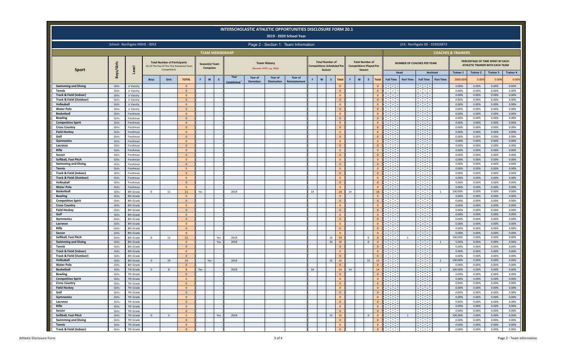|                                                    |                |                               |                |                                                     |                                           |     |                                   |              |                        |                            |                                                   | <b>INTERSCHOLASTIC ATHLETIC OPPORTUNITIES DISCLOSURE FORM 20.1</b><br>2019 - 2020 School Year |    |                                  |                                                    |    |                                                          |                            |                                  |                                                                                                                                                                                                                                      |                                                                                                                      |                               |                               |                                                                     |                           |                           |
|----------------------------------------------------|----------------|-------------------------------|----------------|-----------------------------------------------------|-------------------------------------------|-----|-----------------------------------|--------------|------------------------|----------------------------|---------------------------------------------------|-----------------------------------------------------------------------------------------------|----|----------------------------------|----------------------------------------------------|----|----------------------------------------------------------|----------------------------|----------------------------------|--------------------------------------------------------------------------------------------------------------------------------------------------------------------------------------------------------------------------------------|----------------------------------------------------------------------------------------------------------------------|-------------------------------|-------------------------------|---------------------------------------------------------------------|---------------------------|---------------------------|
|                                                    |                | School: Northgate MSHS - 0053 |                |                                                     |                                           |     |                                   |              |                        |                            |                                                   | Page 2 - Section 1: Team Information                                                          |    |                                  |                                                    |    |                                                          |                            |                                  |                                                                                                                                                                                                                                      | LEA: Northgate SD - 103026873                                                                                        |                               |                               |                                                                     |                           |                           |
|                                                    |                |                               |                |                                                     |                                           |     |                                   |              | <b>TEAM MEMBERSHIP</b> |                            |                                                   |                                                                                               |    |                                  |                                                    |    |                                                          |                            |                                  |                                                                                                                                                                                                                                      |                                                                                                                      |                               | <b>COACHES &amp; TRAINERS</b> |                                                                     |                           |                           |
| <b>Sport</b>                                       | Boys/Girls     | Level                         |                | <b>Total Number of Participants</b><br>Competition) | As Of The Day Of The First Scheduled Team |     | Season(s) Team<br><b>Competes</b> |              |                        |                            | <b>Team History</b><br>(Format = YYYY, e.g. 1955) |                                                                                               |    | <b>Total Number of</b><br>Season | <b>Competitions Scheduled Per</b>                  |    | <b>Total Number of</b><br><b>Competitions Played Per</b> | Season                     |                                  |                                                                                                                                                                                                                                      | <b>NUMBER OF COACHES PER TEAM</b>                                                                                    |                               |                               | PERCENTAGE OF TIME SPENT BY EACH<br>ATHLETIC TRAINER WITH EACH TEAM |                           |                           |
|                                                    |                |                               | <b>Boys</b>    | Girls                                               | <b>TOTAL</b>                              | F.  | W                                 | $\mathsf{s}$ | Year                   | Year of<br><b>Demotion</b> | Year of<br>Elimination                            | Year of<br><b>Reinstatement</b>                                                               |    | W                                | s<br>Total                                         | F. | $\mathbf{w}$                                             | $\mathsf{s}$               | <b>Total</b>                     | <b>Full Time</b>                                                                                                                                                                                                                     | Head<br><b>Part Time</b><br><b>Full Time</b>                                                                         | Assistant<br><b>Part Time</b> | <b>Trainer 1</b><br>2000.009  | <b>Trainer 2</b><br>0.00%                                           | <b>Trainer 3</b><br>0.009 | <b>Trainer 4</b><br>0.00% |
| <b>Swimming and Diving</b>                         | Girls          | Jr Varsity                    |                |                                                     | $\overline{0}$                            |     |                                   |              | <b>stablished</b>      |                            |                                                   |                                                                                               |    |                                  | $\overline{\mathbf{0}}$                            |    |                                                          |                            | $\mathbf{0}$                     | <b>Contract</b>                                                                                                                                                                                                                      | <b>Contract</b>                                                                                                      |                               | 0.00%                         | 0.00%                                                               | 0.00%                     | 0.00%                     |
| Tennis                                             | Girls          | Jr Varsity                    |                |                                                     | $\mathbf{0}$                              |     |                                   |              |                        |                            |                                                   |                                                                                               |    |                                  | $\overline{\mathbf{0}}$                            |    |                                                          |                            | $\overline{0}$                   | $\sim 100$ km s $^{-1}$                                                                                                                                                                                                              | $\sim 100$ m $^{-1}$                                                                                                 |                               | 0.00%                         | 0.00%                                                               | 0.00%                     | 0.00%                     |
| Track & Field (Indoor)                             | Girls          | Jr Varsity                    |                |                                                     | $\overline{0}$                            |     |                                   |              |                        |                            |                                                   |                                                                                               |    |                                  | $\overline{0}$                                     |    |                                                          |                            | $\Omega$                         | and the                                                                                                                                                                                                                              | $\sim 100$                                                                                                           |                               | 0.00%                         | 0.00%                                                               | 0.00%                     | 0.00%                     |
| <b>Track &amp; Field (Outdoor)</b><br>Volleyball   | Girls<br>Girls | Jr Varsity                    |                |                                                     | $\mathbf{0}$                              |     |                                   |              |                        |                            |                                                   |                                                                                               |    |                                  | $\overline{\mathbf{0}}$                            |    |                                                          |                            | $\overline{0}$<br>$\mathbf{0}$   | <b>Contract</b><br>$\sim 10^{11}$ m $^{-1}$                                                                                                                                                                                          | <b>Contract</b><br>an an                                                                                             |                               | 0.00%<br>0.00%                | 0.00%<br>0.00%                                                      | 0.00%<br>0.00%            | 0.00%<br>0.00%            |
| <b>Water Polo</b>                                  | Girls          | Jr Varsity<br>Jr Varsity      |                |                                                     | $\overline{0}$<br>$\overline{0}$          |     |                                   |              |                        |                            |                                                   |                                                                                               |    |                                  | $\overline{\mathbf{0}}$<br>$\overline{0}$          |    |                                                          |                            | $\mathbf{0}$                     | <b>Contract</b>                                                                                                                                                                                                                      | <u>an an </u>                                                                                                        |                               | 0.00%                         | 0.00%                                                               | 0.00%                     | 0.00%                     |
| <b>Basketball</b>                                  | Girls          | Freshman                      |                |                                                     | $\overline{0}$                            |     |                                   |              |                        |                            |                                                   |                                                                                               |    |                                  | $\overline{\mathbf{0}}$                            |    |                                                          |                            | $\Omega$                         | <b>Contract</b>                                                                                                                                                                                                                      | $\sim 10^{11}$ m $^{-1}$                                                                                             |                               | 0.00%                         | 0.00%                                                               | 0.00%                     | 0.00%                     |
| <b>Bowling</b>                                     | Girls          | Freshman                      |                |                                                     | $\overline{0}$                            |     |                                   |              |                        |                            |                                                   |                                                                                               |    |                                  | $\overline{\mathbf{0}}$                            |    |                                                          |                            | $\mathbf{0}$                     | $\sim 10^{11}$ m $^{-1}$                                                                                                                                                                                                             | $\sim 10^{11}$ m $^{-1}$                                                                                             |                               | 0.00%                         | 0.00%                                                               | 0.00%                     | 0.00%                     |
| <b>Competitive Spirit</b>                          | Girls          | Freshman                      |                |                                                     | $\overline{0}$                            |     |                                   |              |                        |                            |                                                   |                                                                                               |    |                                  | $\overline{\mathbf{0}}$                            |    |                                                          |                            | $\mathbf{0}$                     | <b>Contract</b>                                                                                                                                                                                                                      | $\sim 100$                                                                                                           |                               | 0.00%                         | 0.00%                                                               | 0.00%                     | 0.00%                     |
| <b>Cross Country</b>                               | Girls          | Freshman                      |                |                                                     | $\overline{0}$                            |     |                                   |              |                        |                            |                                                   |                                                                                               |    |                                  | $\overline{\mathbf{0}}$                            |    |                                                          |                            | $\Omega$                         | <b>Contract</b>                                                                                                                                                                                                                      | $\sim 100$ m $^{-1}$                                                                                                 |                               | 0.00%                         | 0.00%                                                               | 0.00%                     | 0.00%                     |
| <b>Field Hockey</b><br>Golf                        | Girls<br>Girls | Freshman<br>Freshman          |                |                                                     | $\mathbf{0}$<br>$\overline{0}$            |     |                                   |              |                        |                            |                                                   |                                                                                               |    |                                  | $\overline{\mathbf{0}}$<br>$\overline{0}$          |    |                                                          |                            | $\mathbf{0}$<br>$\mathbf{0}$     | <b>Contract</b><br><b>Contract</b>                                                                                                                                                                                                   | $\sim 10^{-1}$                                                                                                       |                               | 0.00%<br>0.00%                | 0.00%<br>0.00%                                                      | 0.00%<br>0.00%            | 0.00%<br>0.00%            |
| <b>Gymnastics</b>                                  | Girls          | Freshman                      |                |                                                     | $\mathbf{0}$                              |     |                                   |              |                        |                            |                                                   |                                                                                               |    |                                  | $\overline{\mathbf{0}}$                            |    |                                                          |                            | $\mathbf{0}$                     | <b>Contract</b>                                                                                                                                                                                                                      | <u>a sa sa</u>                                                                                                       |                               | 0.00%                         | 0.00%                                                               | 0.00%                     | 0.00%                     |
| Lacrosse                                           | Girls          | Freshman                      |                |                                                     | $\overline{0}$                            |     |                                   |              |                        |                            |                                                   |                                                                                               |    |                                  | $\overline{0}$                                     |    |                                                          |                            | $\mathbf{0}$                     | $\sim 100$ m $^{-1}$                                                                                                                                                                                                                 | <b>Contract</b>                                                                                                      |                               | 0.00%                         | 0.00%                                                               | 0.00%                     | 0.00%                     |
| Rifle                                              | Girls          | Freshman                      |                |                                                     | $\overline{0}$                            |     |                                   |              |                        |                            |                                                   |                                                                                               |    |                                  | $\overline{\mathbf{0}}$                            |    |                                                          |                            | $\Omega$                         | $\sim 100$ m $^{-1}$                                                                                                                                                                                                                 | $\sim 100$ m $^{-1}$                                                                                                 |                               | 0.00%                         | 0.00%                                                               | 0.00%                     | 0.00%                     |
| Soccer                                             | Girls          | Freshman                      |                |                                                     | $\mathbf{0}$                              |     |                                   |              |                        |                            |                                                   |                                                                                               |    |                                  | $\overline{\mathbf{0}}$                            |    |                                                          |                            | $\overline{0}$                   | $\sim 100$ m $^{-1}$                                                                                                                                                                                                                 | $\mathcal{L}^{\text{max}}_{\text{max}}$                                                                              |                               | 0.00%                         | 0.00%                                                               | 0.00%                     | 0.00%                     |
| Softball, Fast Pitch                               | Girls          | Freshman                      |                |                                                     | $\overline{0}$                            |     |                                   |              |                        |                            |                                                   |                                                                                               |    |                                  | $\overline{0}$                                     |    |                                                          |                            | $\Omega$                         |                                                                                                                                                                                                                                      |                                                                                                                      |                               | 0.00%                         | 0.00%                                                               | 0.00%                     | 0.00%                     |
| <b>Swimming and Diving</b>                         | Girls          | Freshman                      |                |                                                     | $\overline{0}$                            |     |                                   |              |                        |                            |                                                   |                                                                                               |    |                                  | $\Omega$                                           |    |                                                          |                            | $\Omega$                         | <b>Contract</b><br>$\sim$ $\sim$                                                                                                                                                                                                     | <b>Contract Contract</b><br>$\sim 100$                                                                               |                               | 0.00%<br>0.00%                | 0.00%<br>0.00%                                                      | 0.00%<br>0.00%            | 0.00%                     |
| <b>Tennis</b><br>Track & Field (Indoor)            | Girls<br>Girls | Freshman<br>Freshman          |                |                                                     | $\mathbf{0}$<br>$\overline{0}$            |     |                                   |              |                        |                            |                                                   |                                                                                               |    |                                  | $\overline{\mathbf{0}}$<br>$\overline{\mathbf{0}}$ |    |                                                          |                            | $\overline{0}$<br>$\mathbf{0}$   | The Co                                                                                                                                                                                                                               | $\sim 10^{11}$                                                                                                       |                               | 0.00%                         | 0.00%                                                               | 0.00%                     | 0.00%<br>0.00%            |
| <b>Track &amp; Field (Outdoor)</b>                 | Girls          | Freshman                      |                |                                                     | $\overline{0}$                            |     |                                   |              |                        |                            |                                                   |                                                                                               |    |                                  | $\overline{\mathbf{0}}$                            |    |                                                          |                            | $\Omega$                         | $\mathcal{L}_{\rm{max}}$ .                                                                                                                                                                                                           | $\sim 10^{11}$ m $^{-1}$                                                                                             |                               | 0.00%                         | 0.00%                                                               | 0.00%                     | 0.00%                     |
| Volleyball                                         | Girls          | Freshman                      |                |                                                     | $\mathbf{0}$                              |     |                                   |              |                        |                            |                                                   |                                                                                               |    |                                  | $\overline{0}$                                     |    |                                                          |                            | $\mathbf{0}$                     | $\sim 10^{11}$ m $^{-1}$                                                                                                                                                                                                             | $\sim 10^{11}$ m $^{-1}$                                                                                             |                               | 0.00%                         | 0.00%                                                               | 0.00%                     | 0.00%                     |
| <b>Water Polo</b>                                  | Girls          | Freshman                      |                |                                                     | $\overline{0}$                            |     |                                   |              |                        |                            |                                                   |                                                                                               |    |                                  | $\overline{0}$                                     |    |                                                          |                            | $\Omega$                         | $\mathcal{L}^{\mathcal{L}}(\mathcal{L}^{\mathcal{L}})$                                                                                                                                                                               | $\sim 10$                                                                                                            |                               | 0.00%                         | 0.00%                                                               | 0.00%                     | 0.00%                     |
| <b>Basketball</b>                                  | Girls          | 8th Grade                     | $\mathbf{0}$   | 11                                                  | 11                                        | Yes |                                   |              | 2019                   |                            |                                                   |                                                                                               | 14 |                                  | 14                                                 | 14 |                                                          |                            | 14                               | <b>Contract</b>                                                                                                                                                                                                                      | $\sim 100$                                                                                                           | 1                             | 100.00%                       | 0.00%                                                               | 0.00%                     | 0.00%                     |
| <b>Bowling</b>                                     | Girls          | 8th Grade                     |                |                                                     | $\mathbf{0}$                              |     |                                   |              |                        |                            |                                                   |                                                                                               |    |                                  | $\overline{\mathbf{0}}$                            |    |                                                          |                            | $\overline{0}$                   | <b>Contract</b>                                                                                                                                                                                                                      | <b>Contract</b>                                                                                                      |                               | 0.00%                         | 0.00%                                                               | 0.00%                     | 0.00%                     |
| <b>Competitive Spirit</b><br><b>Cross Country</b>  | Girls<br>Girls | 8th Grade<br>8th Grade        |                |                                                     | $\overline{0}$<br>$\mathbf{0}$            |     |                                   |              |                        |                            |                                                   |                                                                                               |    |                                  | $\overline{0}$<br>$\overline{\mathbf{0}}$          |    |                                                          |                            | $\overline{0}$<br>$\overline{0}$ | <b>Service</b><br><b>Contract Contract</b>                                                                                                                                                                                           | <b>Contract</b><br>$\sim 100$ m $^{-1}$                                                                              |                               | 0.00%<br>0.00%                | 0.00%<br>0.00%                                                      | 0.00%<br>0.00%            | 0.00%<br>0.00%            |
| <b>Field Hockey</b>                                | Girls          | 8th Grade                     |                |                                                     | $\overline{0}$                            |     |                                   |              |                        |                            |                                                   |                                                                                               |    |                                  | $\overline{0}$                                     |    |                                                          |                            | $\mathbf{0}$                     | $\sim 100$                                                                                                                                                                                                                           | $\sim 100$                                                                                                           |                               | 0.00%                         | 0.00%                                                               | 0.00%                     | 0.00%                     |
| Golf                                               | Girls          | 8th Grade                     |                |                                                     | $\overline{0}$                            |     |                                   |              |                        |                            |                                                   |                                                                                               |    |                                  | $\overline{\mathbf{0}}$                            |    |                                                          |                            | $\overline{0}$                   | $\sim 100$                                                                                                                                                                                                                           | <b>Contract</b>                                                                                                      |                               | 0.00%                         | 0.00%                                                               | 0.00%                     | 0.00%                     |
| Gymnastics                                         | Girls          | 8th Grade                     |                |                                                     | $\overline{0}$                            |     |                                   |              |                        |                            |                                                   |                                                                                               |    |                                  | $\overline{\mathbf{0}}$                            |    |                                                          |                            | $\overline{0}$                   | <b>Contract</b>                                                                                                                                                                                                                      | and the                                                                                                              |                               | 0.00%                         | 0.00%                                                               | 0.00%                     | 0.00%                     |
| Lacrosse                                           | Girls          | 8th Grade                     |                |                                                     | $\overline{0}$                            |     |                                   |              |                        |                            |                                                   |                                                                                               |    |                                  | $\overline{0}$                                     |    |                                                          |                            | $\Omega$                         |                                                                                                                                                                                                                                      | والمحادث                                                                                                             |                               | 0.00%                         | 0.00%                                                               | 0.00%                     | 0.00%                     |
| Rifle                                              | Girls          | 8th Grade                     |                |                                                     | $\mathbf{0}$                              |     |                                   |              |                        |                            |                                                   |                                                                                               |    |                                  | $\overline{0}$                                     |    |                                                          |                            | $\overline{0}$                   | <b>Contract</b>                                                                                                                                                                                                                      | <b>Contract Contract</b>                                                                                             |                               | 0.00%                         | 0.00%                                                               | 0.00%                     | 0.00%                     |
| Soccer                                             | Girls          | 8th Grade                     |                |                                                     | $\mathbf{0}$                              |     |                                   |              |                        |                            |                                                   |                                                                                               |    |                                  | $\overline{0}$                                     |    |                                                          |                            | $\mathbf{0}$<br>$\overline{0}$   | $\sim 10^{11}$ m $^{-1}$<br>$\sim 100$                                                                                                                                                                                               | $\sim 10^{11}$ m $^{-1}$                                                                                             |                               | 0.00%                         | 0.00%                                                               | 0.00%                     | 0.00%                     |
| Softball, Fast Pitch<br><b>Swimming and Diving</b> | Girls<br>Girls | 8th Grade<br>8th Grade        | $\mathbf{0}$   | 12                                                  | 12<br>$\mathbf{0}$                        |     |                                   | Yes<br>Yes   | 2019<br>2019           |                            |                                                   |                                                                                               |    |                                  | 14<br>14<br>10<br>10                               |    |                                                          | $\mathbf 0$<br>$\mathbf 0$ | $\overline{0}$                   | $\sim 100$ m $^{-1}$                                                                                                                                                                                                                 | $\sim 10^{11}$<br>$\overline{1}$<br>$\sim 10^{11}$ m $^{-1}$                                                         | $\overline{1}$                | 100.00%<br>0.00%              | 0.00%<br>0.00%                                                      | 0.00%<br>0.00%            | 0.00%<br>0.00%            |
| Tennis                                             | Girls          | 8th Grade                     |                |                                                     | $\mathbf{0}$                              |     |                                   |              |                        |                            |                                                   |                                                                                               |    |                                  | $\overline{0}$                                     |    |                                                          |                            | $\mathbf{0}$                     | $\sim 10^{11}$ m $^{-1}$                                                                                                                                                                                                             | $\sim 10^{11}$ m $^{-1}$                                                                                             |                               | 0.00%                         | 0.00%                                                               | 0.00%                     | 0.00%                     |
| Track & Field (Indoor)                             | Girls          | 8th Grade                     |                |                                                     | $\overline{0}$                            |     |                                   |              |                        |                            |                                                   |                                                                                               |    |                                  | $\overline{0}$                                     |    |                                                          |                            | $\Omega$                         | $\sim 10^{11}$ m $^{-1}$                                                                                                                                                                                                             |                                                                                                                      |                               | 0.00%                         | 0.00%                                                               | 0.00%                     | 0.00%                     |
| <b>Track &amp; Field (Outdoor)</b>                 | Girls          | 8th Grade                     |                |                                                     | $\overline{0}$                            |     |                                   |              |                        |                            |                                                   |                                                                                               |    |                                  | $\overline{0}$                                     |    |                                                          |                            | $\Omega$                         | <b>Contract Contract</b>                                                                                                                                                                                                             | <b>Contract</b>                                                                                                      |                               | 0.00%                         | 0.00%                                                               | 0.00%                     | 0.00%                     |
| Volleyball                                         | Girls          | 8th Grade                     | $\overline{0}$ | 19                                                  | 19                                        |     | Yes                               |              | 2019                   |                            |                                                   |                                                                                               |    |                                  | 15<br>15                                           |    |                                                          | 15                         | 15                               | <b>Contract</b>                                                                                                                                                                                                                      | $\sim 10^{11}$                                                                                                       | 1                             | 100.00%                       | 0.00%                                                               | 0.00%                     | 0.00%                     |
| <b>Water Polo</b>                                  | Girls          | 8th Grade                     |                |                                                     | $\mathbf{0}$                              |     |                                   |              |                        |                            |                                                   |                                                                                               |    |                                  | $\overline{0}$                                     |    |                                                          |                            | $\mathbf{0}$                     | $\sim 10^{11}$ m $^{-1}$                                                                                                                                                                                                             | $\sim 100$<br>$\sim 100$ m $^{-1}$                                                                                   |                               | 0.00%                         | 0.00%                                                               | 0.00%                     | 0.00%                     |
| <b>Basketball</b><br><b>Bowling</b>                | Girls<br>Girls | 7th Grade<br>7th Grade        | $\overline{0}$ | $\mathbf{R}$                                        | $\mathbf{8}$<br>$\mathbf{0}$              | Yes |                                   |              | 2019                   |                            |                                                   |                                                                                               | 14 |                                  | 14<br>$\overline{0}$                               | 14 |                                                          |                            | 14<br>$\mathbf{0}$               | <b>Contract Contract</b><br>$\sim 100$ m $^{-1}$                                                                                                                                                                                     | $\sim 100$ m $^{-1}$                                                                                                 | $\overline{1}$                | 100.00%<br>0.00%              | 0.00%<br>0.00%                                                      | 0.00%<br>0.00%            | 0.00%<br>0.00%            |
| <b>Competitive Spirit</b>                          | Girls          | 7th Grade                     |                |                                                     | $\mathbf{0}$                              |     |                                   |              |                        |                            |                                                   |                                                                                               |    |                                  | $\overline{0}$                                     |    |                                                          |                            | $\mathbf{0}$                     | <b>Contract</b>                                                                                                                                                                                                                      | $\sim 10^{11}$ m $^{-1}$                                                                                             |                               | 0.00%                         | 0.00%                                                               | 0.00%                     | 0.00%                     |
| <b>Cross Country</b>                               | Girls          | 7th Grade                     |                |                                                     | $\mathbf{0}$                              |     |                                   |              |                        |                            |                                                   |                                                                                               |    |                                  | $\overline{\mathbf{0}}$                            |    |                                                          |                            | $\overline{0}$                   |                                                                                                                                                                                                                                      |                                                                                                                      |                               | 0.00%                         | 0.00%                                                               | 0.00%                     | 0.00%                     |
| <b>Field Hockey</b>                                | Girls          | 7th Grade                     |                |                                                     | $\overline{0}$                            |     |                                   |              |                        |                            |                                                   |                                                                                               |    |                                  | $\mathbf 0$                                        |    |                                                          |                            | $\overline{0}$                   | التبيتين                                                                                                                                                                                                                             | <u>सम्</u> त                                                                                                         |                               | 0.00%                         | 0.00%                                                               | 0.00%                     | 0.00%                     |
| Golf                                               | Girls          | 7th Grade                     |                |                                                     | $\overline{0}$                            |     |                                   |              |                        |                            |                                                   |                                                                                               |    |                                  | $\overline{0}$                                     |    |                                                          |                            | $\overline{0}$                   | <u>a sa sa</u>                                                                                                                                                                                                                       | <u>a sa sa</u>                                                                                                       |                               | 0.00%                         | 0.00%                                                               | 0.00%                     | 0.00%                     |
| Gymnastics                                         | Girls          | 7th Grade                     |                |                                                     | $\mathbf{0}$                              |     |                                   |              |                        |                            |                                                   |                                                                                               |    |                                  | $\overline{0}$                                     |    |                                                          |                            | $\overline{0}$                   | <b>Contract</b>                                                                                                                                                                                                                      | $\mathcal{O}(\mathcal{O}_\mathcal{O})$ .                                                                             |                               | 0.00%                         | 0.00%                                                               | 0.00%                     | 0.00%                     |
| Lacrosse<br>Rifle                                  | Girls          | 7th Grade                     |                |                                                     | $\overline{0}$                            |     |                                   |              |                        |                            |                                                   |                                                                                               |    |                                  | $\overline{0}$                                     |    |                                                          |                            | $\overline{0}$                   | <u>i sa sa</u>                                                                                                                                                                                                                       | $\sim 10^{11}$ km s $^{-1}$                                                                                          |                               | 0.00%                         | 0.00%                                                               | 0.00%                     | 0.00%                     |
| Soccer                                             | Girls<br>Girls | 7th Grade<br>7th Grade        |                |                                                     | $\mathbf 0$<br>$\overline{0}$             |     |                                   |              |                        |                            |                                                   |                                                                                               |    |                                  | $\mathbf 0$<br>$\overline{0}$                      |    |                                                          |                            | $\overline{0}$<br>$\overline{0}$ | المتحدة المرا<br>ber a sh                                                                                                                                                                                                            | <u> 1999 - 1999 - 1999 - 1999 - 1999 - 1999 - 1999 - 1999 - 1999 - 1999 - 1999 - 1999 - 1999 - 1999 - 1999 - 199</u> |                               | 0.00%<br>0.00%                | 0.00%<br>0.00%                                                      | 0.00%<br>0.00%            | 0.00%<br>0.00%            |
| Softball, Fast Pitch                               | Girls          | 7th Grade                     | $\mathbf{0}$   | 5                                                   | 5 <sup>5</sup>                            |     |                                   | Yes          | 2019                   |                            |                                                   |                                                                                               |    |                                  | 15<br>15                                           |    |                                                          | $\overline{0}$             | $\overline{0}$                   | المنافضة المنا                                                                                                                                                                                                                       | 1                                                                                                                    |                               | 100.00%                       | 0.00%                                                               | 0.00%                     | 0.00%                     |
| <b>Swimming and Diving</b>                         | Girls          | 7th Grade                     |                |                                                     | $\overline{0}$                            |     |                                   |              |                        |                            |                                                   |                                                                                               |    |                                  | $\overline{\mathbf{0}}$                            |    |                                                          |                            | $\mathbf{0}$                     |                                                                                                                                                                                                                                      |                                                                                                                      |                               | 0.00%                         | 0.00%                                                               | 0.00%                     | 0.00%                     |
| <b>Tennis</b>                                      | Girls          | 7th Grade                     |                |                                                     | $\overline{0}$                            |     |                                   |              |                        |                            |                                                   |                                                                                               |    |                                  | $\overline{0}$                                     |    |                                                          |                            | $\overline{0}$                   | <u>in the set of the set of the set of the set of the set of the set of the set of the set of the set of the set of the set of the set of the set of the set of the set of the set of the set of the set of the set of the set o</u> | <u>a a</u>                                                                                                           |                               | 0.00%                         | 0.00%                                                               | 0.00%                     | 0.00%                     |
| Track & Field (Indoor)                             | Girls          | 7th Grade                     |                |                                                     | $\overline{0}$                            |     |                                   |              |                        |                            |                                                   |                                                                                               |    |                                  | $\mathbf{0}$                                       |    |                                                          |                            |                                  | $\begin{array}{ccc} \circ & \circ & \circ \end{array}$                                                                                                                                                                               | $\sim 10^{11}$ m $^{-1}$                                                                                             |                               | 0.00%                         | 0.00%                                                               | 0.00%                     | 0.00%                     |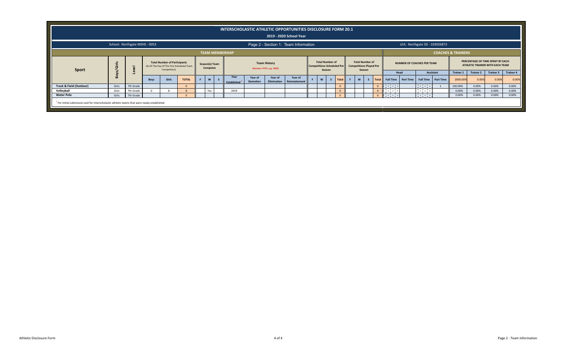|                                                                                                         |       |                               |      |                                                                                                   |              |                                   |                                  |                            |                                                  | INTERSCHOLASTIC ATHLETIC OPPORTUNITIES DISCLOSURE FORM 20.1<br>2019 - 2020 School Year |                                  |                                   |          |   |                                                                    |                |                               |                                           |                         |                               |                               |                  |                                                                                         |                  |
|---------------------------------------------------------------------------------------------------------|-------|-------------------------------|------|---------------------------------------------------------------------------------------------------|--------------|-----------------------------------|----------------------------------|----------------------------|--------------------------------------------------|----------------------------------------------------------------------------------------|----------------------------------|-----------------------------------|----------|---|--------------------------------------------------------------------|----------------|-------------------------------|-------------------------------------------|-------------------------|-------------------------------|-------------------------------|------------------|-----------------------------------------------------------------------------------------|------------------|
|                                                                                                         |       | School: Northgate MSHS - 0053 |      |                                                                                                   |              |                                   |                                  |                            |                                                  | Page 2 - Section 1: Team Information                                                   |                                  |                                   |          |   |                                                                    |                |                               |                                           |                         | LEA: Northgate SD - 103026873 |                               |                  |                                                                                         |                  |
|                                                                                                         |       |                               |      |                                                                                                   |              |                                   | <b>TEAM MEMBERSHIP</b>           |                            |                                                  |                                                                                        |                                  |                                   |          |   |                                                                    |                |                               |                                           |                         |                               | <b>COACHES &amp; TRAINERS</b> |                  |                                                                                         |                  |
| Sport                                                                                                   | Ë     | $\overline{a}$                |      | <b>Total Number of Participants</b><br>(As Of The Day Of The First Scheduled Team<br>Competition) |              | Season(s) Team<br><b>Competes</b> |                                  |                            | <b>Team History</b><br>(Format =YYYY, e.g. 1955) |                                                                                        | <b>Total Number of</b><br>Season | <b>Competitions Scheduled Per</b> |          |   | <b>Total Number of</b><br><b>Competitions Played Per</b><br>Season |                |                               | <b>NUMBER OF COACHES PER TEAM</b><br>Head |                         | Assistant                     | <b>Trainer 1</b>              | <b>Trainer 2</b> | PERCENTAGE OF TIME SPENT BY EACH<br>ATHLETIC TRAINER WITH EACH TEAM<br><b>Trainer 3</b> | <b>Trainer 4</b> |
|                                                                                                         | န္တ   |                               | Boys | Girls                                                                                             | <b>TOTAL</b> | W<br>-S                           | Year<br>Established <sup>1</sup> | Year of<br><b>Demotion</b> | Year of<br>Elimination                           | Year of<br>Reinstatement                                                               | W                                | $\mathsf{s}$<br>Total             | <b>F</b> | W |                                                                    |                | Total Full Time               | Part Time                                 | <b>Full Time</b>        | <b>Part Time</b>              | 2000.00%                      | 0.00%            | 0.00%                                                                                   | 0.00%            |
| Track & Field (Outdoor)                                                                                 | Girls | 7th Grade                     |      |                                                                                                   |              |                                   |                                  |                            |                                                  |                                                                                        |                                  |                                   |          |   |                                                                    | $\Omega$       | $\mathbb{R}$ and $\mathbb{R}$ |                                           | <b>Contract</b>         |                               | 100.00%                       | 0.00%            | 0.00%                                                                                   | 0.00%            |
| Volleyball                                                                                              | Girls | 7th Grade                     |      |                                                                                                   |              | Yes                               | 2019                             |                            |                                                  |                                                                                        |                                  |                                   |          |   |                                                                    | $\overline{0}$ | <b>The Common</b>             |                                           | <b>Contract</b><br>____ |                               | 0.00%                         | 0.00%            | 0.00%                                                                                   | 0.00%            |
| <b>Water Polo</b>                                                                                       | Girls | 7th Grade                     |      |                                                                                                   |              |                                   |                                  |                            |                                                  |                                                                                        |                                  |                                   |          |   |                                                                    | $\Omega$       | di serial                     |                                           | Parties in              |                               | 0.00%                         | 0.00%            | 0.00%                                                                                   | 0.00%            |
| <sup>1</sup> For initial submission and for interscholastic athletic teams that were newly established. |       |                               |      |                                                                                                   |              |                                   |                                  |                            |                                                  |                                                                                        |                                  |                                   |          |   |                                                                    |                |                               |                                           |                         |                               |                               |                  |                                                                                         |                  |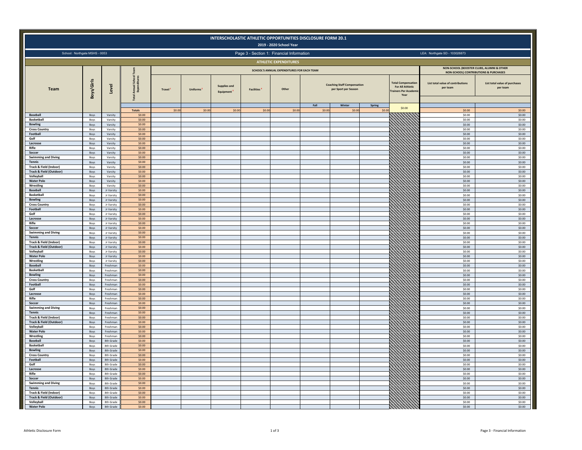|                                                              |              |                          |                           |                     |          |                           | INTERSCHOLASTIC ATHLETIC OPPORTUNITIES DISCLOSURE FORM 20.1 | 2019 - 2020 School Year                    |                |                                                            |                                                                                    |                                                                                    |                                           |
|--------------------------------------------------------------|--------------|--------------------------|---------------------------|---------------------|----------|---------------------------|-------------------------------------------------------------|--------------------------------------------|----------------|------------------------------------------------------------|------------------------------------------------------------------------------------|------------------------------------------------------------------------------------|-------------------------------------------|
| School: Northgate MSHS - 0053                                |              |                          |                           |                     |          |                           | Page 3 - Section 1: Financial Information                   |                                            |                |                                                            |                                                                                    | LEA: Northgate SD - 103026873                                                      |                                           |
|                                                              |              |                          |                           |                     |          |                           |                                                             | <b>ATHLETIC EXPENDITURES</b>               |                |                                                            |                                                                                    |                                                                                    |                                           |
|                                                              |              |                          |                           |                     |          |                           |                                                             | SCHOOL'S ANNUAL EXPENDITURES FOR EACH TEAM |                |                                                            |                                                                                    | NON-SCHOOL (BOOSTER CLUBS, ALUMNI & OTHER<br>NON-SCHOOL) CONTRIBUTIONS & PURCHASES |                                           |
| Team                                                         | Boys/Girls   | Level                    | Scho<br>Annual:<br>Expend | Travel <sup>1</sup> | Uniforms | Supplies and<br>Equipment | <b>Facilities</b> <sup>4</sup>                              | Other                                      |                | <b>Coaching Staff Compensation</b><br>per Sport per Season | <b>Total Compensation</b><br><b>For All Athletic</b><br>rainers Per Acaden<br>Year | List total value of contributions<br>per team                                      | List total value of purchases<br>per team |
|                                                              |              |                          | <b>Totals</b>             | \$0.00              | \$0.00   | \$0.00                    | \$0.00                                                      | \$0.00                                     | Fall<br>\$0.00 | Winter<br>\$0.00                                           | Spring<br>\$0.00<br>\$0.00                                                         | \$0.00                                                                             | \$0.00                                    |
| Baseball                                                     | Boys         | Varsity                  | \$0.00                    |                     |          |                           |                                                             |                                            |                |                                                            |                                                                                    | \$0.00                                                                             | \$0.00                                    |
| <b>Basketball</b><br><b>Bowling</b>                          | Boys<br>Boys | Varsity<br>Varsity       | \$0.00<br>\$0.00          |                     |          |                           |                                                             |                                            |                |                                                            |                                                                                    | \$0.00<br>\$0.00                                                                   | \$0.00<br>\$0.00                          |
| <b>Cross Country</b>                                         | Boys         | Varsity                  | \$0.00                    |                     |          |                           |                                                             |                                            |                |                                                            |                                                                                    | \$0.00                                                                             | \$0.00                                    |
| Football<br>Golf                                             | Boys<br>Boys | Varsity<br>Varsity       | \$0.00<br>\$0.00          |                     |          |                           |                                                             |                                            |                |                                                            |                                                                                    | \$0.00<br>\$0.00                                                                   | \$0.00<br>\$0.00                          |
| Lacrosse                                                     | Boys         | Varsity                  | \$0.00                    |                     |          |                           |                                                             |                                            |                |                                                            |                                                                                    | \$0.00                                                                             | \$0.00                                    |
| Rifle<br>Soccer                                              | Boys<br>Boys | Varsity<br>Varsity       | \$0.00<br>\$0.00          |                     |          |                           |                                                             |                                            |                |                                                            |                                                                                    | \$0.00<br>\$0.00                                                                   | \$0.00<br>\$0.00                          |
| <b>Swimming and Diving</b>                                   | Boys         | Varsity                  | \$0.00                    |                     |          |                           |                                                             |                                            |                |                                                            |                                                                                    | \$0.00                                                                             | \$0.00                                    |
| Tennis                                                       | Boys         | Varsity                  | \$0.00<br>\$0.00          |                     |          |                           |                                                             |                                            |                |                                                            |                                                                                    | \$0.00<br>\$0.00                                                                   | \$0.00                                    |
| Track & Field (Indoor)<br><b>Track &amp; Field (Outdoor)</b> | Boys<br>Boys | Varsity<br>Varsity       | \$0.00                    |                     |          |                           |                                                             |                                            |                |                                                            |                                                                                    | \$0.00                                                                             | \$0.00<br>\$0.00                          |
| Volleyball                                                   | Boys         | Varsity                  | \$0.00                    |                     |          |                           |                                                             |                                            |                |                                                            |                                                                                    | \$0.00                                                                             | \$0.00                                    |
| <b>Water Polo</b><br>Wrestling                               | Boys<br>Boys | Varsity<br>Varsity       | \$0.00<br>\$0.00          |                     |          |                           |                                                             |                                            |                |                                                            |                                                                                    | \$0.00<br>\$0.00                                                                   | \$0.00<br>\$0.00                          |
| <b>Baseball</b>                                              | Boys         | Jr Varsity               | \$0.00                    |                     |          |                           |                                                             |                                            |                |                                                            |                                                                                    | \$0.00                                                                             | \$0.00                                    |
| <b>Basketball</b><br><b>Bowling</b>                          | Boys<br>Boys | Jr Varsity<br>Jr Varsity | \$0.00<br>\$0.00          |                     |          |                           |                                                             |                                            |                |                                                            |                                                                                    | \$0.00<br>\$0.00                                                                   | \$0.00<br>\$0.00                          |
| <b>Cross Country</b>                                         | Boys         | Jr Varsity               | \$0.00                    |                     |          |                           |                                                             |                                            |                |                                                            |                                                                                    | \$0.00                                                                             | \$0.00                                    |
| Football<br>Golf                                             | Boys<br>Boys | Jr Varsity<br>Jr Varsity | \$0.00<br>\$0.00          |                     |          |                           |                                                             |                                            |                |                                                            |                                                                                    | \$0.00<br>\$0.00                                                                   | \$0.00<br>\$0.00                          |
| Lacrosse                                                     | Boys         | Jr Varsity               | \$0.00                    |                     |          |                           |                                                             |                                            |                |                                                            |                                                                                    | \$0.00                                                                             | \$0.00                                    |
| Rifle                                                        | Boys         | Jr Varsity               | \$0.00                    |                     |          |                           |                                                             |                                            |                |                                                            |                                                                                    | \$0.00                                                                             | \$0.00<br>\$0.00                          |
| Soccer<br><b>Swimming and Diving</b>                         | Boys<br>Boys | Jr Varsity<br>Jr Varsity | \$0.00<br>\$0.00          |                     |          |                           |                                                             |                                            |                |                                                            |                                                                                    | \$0.00<br>\$0.00                                                                   | \$0.00                                    |
| <b>Tennis</b>                                                | Boys         | Jr Varsity               | \$0.00                    |                     |          |                           |                                                             |                                            |                |                                                            |                                                                                    | \$0.00                                                                             | \$0.00                                    |
| Track & Field (Indoor)<br>Track & Field (Outdoor)            | Boys<br>Boys | Jr Varsity<br>Jr Varsity | \$0.00<br>\$0.00          |                     |          |                           |                                                             |                                            |                |                                                            |                                                                                    | \$0.00<br>\$0.00                                                                   | \$0.00<br>\$0.00                          |
| Volleyball                                                   | Boys         | Jr Varsity               | \$0.00                    |                     |          |                           |                                                             |                                            |                |                                                            |                                                                                    | \$0.00                                                                             | \$0.00                                    |
| <b>Water Polo</b><br>Wrestling                               | Boys<br>Boys | Jr Varsity<br>Jr Varsity | 50.00<br>\$0.00           |                     |          |                           |                                                             |                                            |                |                                                            |                                                                                    | 50.00<br>\$0.00                                                                    | 50.00<br>\$0.00                           |
| <b>Baseball</b>                                              | Boys         | Freshman                 | \$0.00                    |                     |          |                           |                                                             |                                            |                |                                                            |                                                                                    | \$0.00                                                                             | \$0.00                                    |
| <b>Basketball</b><br><b>Bowling</b>                          | Boys<br>Boys | Freshman<br>Ereshman     | \$0.00<br>\$0.00          |                     |          |                           |                                                             |                                            |                |                                                            |                                                                                    | \$0.00<br>\$0.00                                                                   | \$0.00<br>\$0.00                          |
| <b>Cross Country</b>                                         | Boys         | Freshman                 | \$0.00                    |                     |          |                           |                                                             |                                            |                |                                                            |                                                                                    | \$0.00                                                                             | \$0.00                                    |
| Football<br>Golf                                             | Boys         | Freshman<br>Freshman     | \$0.00<br>\$0.00          |                     |          |                           |                                                             |                                            |                |                                                            |                                                                                    | \$0.00<br>\$0.00                                                                   | \$0.00<br>\$0.00                          |
| Lacrosse                                                     | Boys<br>Boys | Freshman                 | \$0.00                    |                     |          |                           |                                                             |                                            |                |                                                            |                                                                                    | \$0.00                                                                             | \$0.00                                    |
| Rifle                                                        | Boys         | Freshman                 | \$0.00                    |                     |          |                           |                                                             |                                            |                |                                                            |                                                                                    | \$0.00                                                                             | \$0.00                                    |
| Soccer<br><b>Swimming and Diving</b>                         | Boys<br>Boys | Freshman<br>Freshman     | \$0.00<br>50.00           |                     |          |                           |                                                             |                                            |                |                                                            |                                                                                    | \$0.00<br>50.00                                                                    | \$0.00<br>\$0.00                          |
| Tennis                                                       | Boys         | Freshman                 | \$0.00                    |                     |          |                           |                                                             |                                            |                |                                                            |                                                                                    | \$0.00                                                                             | \$0.00                                    |
| Track & Field (Indoor)<br>Track & Field (Outdoor)            | Boys<br>Boys | Freshman<br>Freshman     | \$0.00<br>\$0.00          |                     |          |                           |                                                             |                                            |                |                                                            |                                                                                    | \$0.00<br>\$0.00                                                                   | \$0.00<br>\$0.00                          |
| Volleyball                                                   | Boys         | Freshman                 | \$0.00                    |                     |          |                           |                                                             |                                            |                |                                                            |                                                                                    | \$0.00                                                                             | \$0.00                                    |
| <b>Water Polo</b><br>Wrestling                               | Boys<br>Boys | Freshman<br>Freshman     | \$0.00<br>\$0.00          |                     |          |                           |                                                             |                                            |                |                                                            |                                                                                    | \$0.00<br>\$0.00                                                                   | \$0.00<br>\$0.00                          |
| <b>Baseball</b>                                              | Boys         | 8th Grade                | 50.00                     |                     |          |                           |                                                             |                                            |                |                                                            |                                                                                    | \$0.00                                                                             | \$0.00                                    |
| <b>Basketball</b><br><b>Bowling</b>                          | Boys<br>Boys | 8th Grade<br>8th Grade   | \$0.00<br>\$0.00          |                     |          |                           |                                                             |                                            |                |                                                            |                                                                                    | \$0.00<br>\$0.00                                                                   | \$0.00<br>\$0.00                          |
| <b>Cross Country</b>                                         | Boys         | 8th Grade                | \$0.00                    |                     |          |                           |                                                             |                                            |                |                                                            |                                                                                    | \$0.00                                                                             | \$0.00                                    |
| Football<br>Golf                                             | Boys<br>Boys | 8th Grade<br>8th Grade   | \$0.00<br>\$0.00          |                     |          |                           |                                                             |                                            |                |                                                            |                                                                                    | \$0.00<br>\$0.00                                                                   | \$0.00<br>\$0.00                          |
| Lacrosse                                                     | Boys         | 8th Grade                | \$0.00                    |                     |          |                           |                                                             |                                            |                |                                                            |                                                                                    | \$0.00                                                                             | \$0.00                                    |
| Rifle<br>Soccer                                              | Boys         | 8th Grade<br>8th Grade   | \$0.00<br>\$0.00          |                     |          |                           |                                                             |                                            |                |                                                            |                                                                                    | \$0.00<br>\$0.00                                                                   | \$0.00<br>\$0.00                          |
| <b>Swimming and Diving</b>                                   | Boys<br>Boys | 8th Grade                | \$0.00                    |                     |          |                           |                                                             |                                            |                |                                                            |                                                                                    | \$0.00                                                                             | \$0.00                                    |
| Tennis<br>Track & Field (Indoor)                             | Boys         | 8th Grade                | \$0.00<br>\$0.00          |                     |          |                           |                                                             |                                            |                |                                                            |                                                                                    | \$0.00                                                                             | \$0.00                                    |
| <b>Track &amp; Field (Outdoor)</b>                           | Boys<br>Boys | 8th Grade<br>8th Grade   | \$0.00                    |                     |          |                           |                                                             |                                            |                |                                                            |                                                                                    | \$0.00<br>50.00                                                                    | \$0.00<br>50.00                           |
| Volleyball                                                   | Boys         | 8th Grade                | \$0.00                    |                     |          |                           |                                                             |                                            |                |                                                            |                                                                                    | \$0.00                                                                             | \$0.00                                    |
| <b>Water Polo</b>                                            | Boys         | 8th Grade                | \$0.00                    |                     |          |                           |                                                             |                                            |                |                                                            |                                                                                    | \$0.00                                                                             | \$0.00                                    |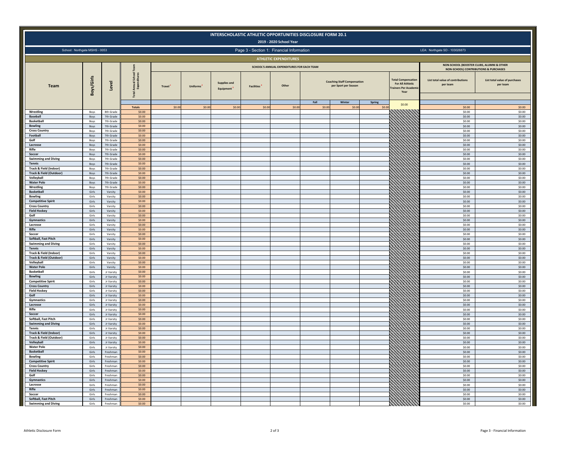|                                                              |                |                          |                                          |                     |                 | INTERSCHOLASTIC ATHLETIC OPPORTUNITIES DISCLOSURE FORM 20.1 |                   | 2019 - 2020 School Year                    |               |                                                            |                 |                                                                                           |                                                                                    |                                           |
|--------------------------------------------------------------|----------------|--------------------------|------------------------------------------|---------------------|-----------------|-------------------------------------------------------------|-------------------|--------------------------------------------|---------------|------------------------------------------------------------|-----------------|-------------------------------------------------------------------------------------------|------------------------------------------------------------------------------------|-------------------------------------------|
| School: Northgate MSHS - 0053                                |                |                          |                                          |                     |                 |                                                             |                   | Page 3 - Section 1: Financial Information  |               |                                                            |                 |                                                                                           | LEA: Northgate SD - 103026873                                                      |                                           |
|                                                              |                |                          |                                          |                     |                 |                                                             |                   | <b>ATHLETIC EXPENDITURES</b>               |               |                                                            |                 |                                                                                           |                                                                                    |                                           |
|                                                              |                |                          |                                          |                     |                 |                                                             |                   | SCHOOL'S ANNUAL EXPENDITURES FOR EACH TEAM |               |                                                            |                 |                                                                                           | NON-SCHOOL (BOOSTER CLUBS, ALUMNI & OTHER<br>NON-SCHOOL) CONTRIBUTIONS & PURCHASES |                                           |
| Team                                                         | Boys/Girls     | Level                    | School<br>Annual<br>Expen<br><b>Tota</b> | Travel <sup>1</sup> | <b>Uniforms</b> | <b>Supplies and</b><br>Equipment                            | <b>Facilities</b> | Other                                      |               | <b>Coaching Staff Compensation</b><br>per Sport per Season |                 | <b>Total Compensatio</b><br><b>For All Athletic</b><br><b>Trainers Per Acader</b><br>Year | List total value of contributions<br>per team                                      | List total value of purchases<br>per team |
|                                                              |                |                          | <b>Totals</b>                            | \$0.00              | 50.00           | 50.00                                                       | \$0.00            | 50.00                                      | Fall<br>50.00 | Winter<br>\$0.00                                           | Spring<br>50.00 | \$0.00                                                                                    | 50.00                                                                              | \$0.00                                    |
| Wrestling                                                    | Boys           | 8th Grade                | \$0.00                                   |                     |                 |                                                             |                   |                                            |               |                                                            |                 |                                                                                           | 50.00                                                                              | 50.00                                     |
| Baseball<br><b>Basketball</b>                                | Boys<br>Boys   | 7th Grade<br>7th Grade   | \$0.00<br>\$0.00                         |                     |                 |                                                             |                   |                                            |               |                                                            |                 |                                                                                           | \$0.00<br>\$0.00                                                                   | \$0.00<br>\$0.00                          |
| <b>Bowling</b>                                               | Boys           | 7th Grade                | \$0.00                                   |                     |                 |                                                             |                   |                                            |               |                                                            |                 |                                                                                           | \$0.00                                                                             | \$0.00                                    |
| <b>Cross Country</b>                                         | Boys           | 7th Grade                | \$0.00                                   |                     |                 |                                                             |                   |                                            |               |                                                            |                 |                                                                                           | \$0.00                                                                             | \$0.00                                    |
| Football<br>Golf                                             | Boys<br>Boys   | 7th Grade<br>7th Grade   | \$0.00<br>\$0.00                         |                     |                 |                                                             |                   |                                            |               |                                                            |                 |                                                                                           | \$0.00<br>\$0.00                                                                   | \$0.00<br>\$0.00                          |
| Lacrosse                                                     | Boys           | 7th Grade                | \$0.00                                   |                     |                 |                                                             |                   |                                            |               |                                                            |                 |                                                                                           | \$0.00                                                                             | \$0.00                                    |
| Rifle<br>Soccer                                              | Boys           | 7th Grade<br>7th Grade   | \$0.00                                   |                     |                 |                                                             |                   |                                            |               |                                                            |                 |                                                                                           | \$0.00<br>\$0.00                                                                   | \$0.00<br>\$0.00                          |
| <b>Swimming and Diving</b>                                   | Boys<br>Boys   | 7th Grade                | \$0.00<br>\$0.00                         |                     |                 |                                                             |                   |                                            |               |                                                            |                 |                                                                                           | \$0.00                                                                             | \$0.00                                    |
| Tennis                                                       | Boys           | 7th Grade                | \$0.00                                   |                     |                 |                                                             |                   |                                            |               |                                                            |                 |                                                                                           | \$0.00                                                                             | \$0.00                                    |
| Track & Field (Indoor)<br><b>Track &amp; Field (Outdoor)</b> | Boys<br>Boys   | 7th Grade<br>7th Grade   | \$0.00<br>50.00                          |                     |                 |                                                             |                   |                                            |               |                                                            |                 |                                                                                           | \$0.00<br>\$0.00                                                                   | \$0.00<br>\$0.00                          |
| Volleyball                                                   | Boys           | 7th Grade                | \$0.00                                   |                     |                 |                                                             |                   |                                            |               |                                                            |                 |                                                                                           | \$0.00                                                                             | \$0.00                                    |
| <b>Water Polo</b>                                            | Boys           | 7th Grade                | \$0.00                                   |                     |                 |                                                             |                   |                                            |               |                                                            |                 |                                                                                           | \$0.00                                                                             | \$0.00                                    |
| Wrestling<br><b>Basketball</b>                               | Boys<br>Girls  | 7th Grade<br>Varsity     | \$0.00<br>\$0.00                         |                     |                 |                                                             |                   |                                            |               |                                                            |                 |                                                                                           | \$0.00<br>\$0.00                                                                   | \$0.00<br>50.00                           |
| <b>Bowling</b>                                               | Girls          | Varsity                  | \$0.00                                   |                     |                 |                                                             |                   |                                            |               |                                                            |                 |                                                                                           | \$0.00                                                                             | \$0.00                                    |
| <b>Competitive Spirit</b>                                    | Girls          | Varsity                  | \$0.00                                   |                     |                 |                                                             |                   |                                            |               |                                                            |                 |                                                                                           | \$0.00                                                                             | \$0.00                                    |
| <b>Cross Country</b><br><b>Field Hockey</b>                  | Girls<br>Girls | Varsity<br>Varsity       | \$0.00<br>\$0.00                         |                     |                 |                                                             |                   |                                            |               |                                                            |                 |                                                                                           | \$0.00<br>\$0.00                                                                   | \$0.00<br>\$0.00                          |
| Golf                                                         | Girls          | Varsity                  | \$0.00                                   |                     |                 |                                                             |                   |                                            |               |                                                            |                 |                                                                                           | \$0.00                                                                             | \$0.00                                    |
| Gymnastics                                                   | Girls          | Varsity                  | \$0.00                                   |                     |                 |                                                             |                   |                                            |               |                                                            |                 |                                                                                           | \$0.00                                                                             | \$0.00                                    |
| Lacrosse<br>Rifle                                            | Girls<br>Girls | Varsity<br>Varsity       | \$0.00<br>\$0.00                         |                     |                 |                                                             |                   |                                            |               |                                                            |                 |                                                                                           | \$0.00<br>\$0.00                                                                   | \$0.00<br>\$0.00                          |
| Soccer                                                       | Girls          | Varsity                  | \$0.00                                   |                     |                 |                                                             |                   |                                            |               |                                                            |                 |                                                                                           | \$0.00                                                                             | \$0.00                                    |
| Softball, Fast Pitch                                         | Girls          | Varsity                  | 50.00                                    |                     |                 |                                                             |                   |                                            |               |                                                            |                 |                                                                                           | \$0.00                                                                             | \$0.00                                    |
| <b>Swimming and Diving</b><br>Tennis                         | Girls<br>Girls | Varsity<br>Varsity       | \$0.00<br>\$0.00                         |                     |                 |                                                             |                   |                                            |               |                                                            |                 |                                                                                           | \$0.00<br>\$0.00                                                                   | \$0.00<br>\$0.00                          |
| Track & Field (Indoor)                                       | Girls          | Varsity                  | \$0.00                                   |                     |                 |                                                             |                   |                                            |               |                                                            |                 |                                                                                           | \$0.00                                                                             | \$0.00                                    |
| <b>Track &amp; Field (Outdoor)</b><br>Volleyball             | Girls<br>Girls | Varsity<br>Varsity       | \$0.00<br>\$0.00                         |                     |                 |                                                             |                   |                                            |               |                                                            |                 |                                                                                           | \$0.00<br>\$0.00                                                                   | \$0.00<br>\$0.00                          |
| <b>Water Polo</b>                                            | Girls          | Varsity                  | \$0.00                                   |                     |                 |                                                             |                   |                                            |               |                                                            |                 |                                                                                           | \$0.00                                                                             | \$0.00                                    |
| <b>Basketball</b>                                            | Girls          | Jr Varsity               | \$0.00                                   |                     |                 |                                                             |                   |                                            |               |                                                            |                 |                                                                                           | \$0.00                                                                             | \$0.00                                    |
| <b>Bowling</b><br><b>Competitive Spirit</b>                  | Girls<br>Girls | Jr Varsity<br>Jr Varsity | \$0.00<br>\$0.00                         |                     |                 |                                                             |                   |                                            |               |                                                            |                 |                                                                                           | \$0.00<br>\$0.00                                                                   | \$0.00<br>\$0.00                          |
| <b>Cross Country</b>                                         | Girls          | Jr Varsity               | \$0.00                                   |                     |                 |                                                             |                   |                                            |               |                                                            |                 |                                                                                           | \$0.00                                                                             | \$0.00                                    |
| <b>Field Hockey</b>                                          | Girls          | Jr Varsity               | \$0.00                                   |                     |                 |                                                             |                   |                                            |               |                                                            |                 |                                                                                           | \$0.00                                                                             | \$0.00                                    |
| Golf<br>Gymnastics                                           | Girls<br>Girls | Jr Varsity<br>Jr Varsity | \$0.00<br>\$0.00                         |                     |                 |                                                             |                   |                                            |               |                                                            |                 |                                                                                           | \$0.00<br>\$0.00                                                                   | \$0.00<br>\$0.00                          |
| Lacrosse                                                     | Girls          | Jr Varsity               | \$0.00                                   |                     |                 |                                                             |                   |                                            |               |                                                            |                 |                                                                                           | \$0.00                                                                             | \$0.00                                    |
| Rifle                                                        | Girls          | Jr Varsity               | \$0.00                                   |                     |                 |                                                             |                   |                                            |               |                                                            |                 |                                                                                           | \$0.00                                                                             | \$0.00                                    |
| Soccer<br>Softball, Fast Pitch                               | Girls<br>Girls | Jr Varsity<br>Jr Varsity | \$0.00<br>\$0.00                         |                     |                 |                                                             |                   |                                            |               |                                                            |                 |                                                                                           | \$0.00<br>\$0.00                                                                   | \$0.00<br>\$0.00                          |
| <b>Swimming and Diving</b>                                   | Girls          | Jr Varsity               | \$0.00                                   |                     |                 |                                                             |                   |                                            |               |                                                            |                 |                                                                                           | \$0.00                                                                             | \$0.00                                    |
| Tennis                                                       | Girls          | Jr Varsity               | \$0.00                                   |                     |                 |                                                             |                   |                                            |               |                                                            |                 |                                                                                           | \$0.00                                                                             | \$0.00                                    |
| Track & Field (Indoor)<br>Track & Field (Outdoor)            | Girls<br>Girls | Jr Varsity<br>Ir Varsity | \$0.00<br>\$0.00                         |                     |                 |                                                             |                   |                                            |               |                                                            |                 |                                                                                           | \$0.00<br>50.00                                                                    | \$0.00<br>\$0.00                          |
| Volleyball                                                   | Girls          | Jr Varsity               | \$0.00                                   |                     |                 |                                                             |                   |                                            |               |                                                            |                 |                                                                                           | \$0.00                                                                             | \$0.00                                    |
| <b>Water Polo</b>                                            | Girls          | Jr Varsity               | \$0.00                                   |                     |                 |                                                             |                   |                                            |               |                                                            |                 |                                                                                           | \$0.00                                                                             | \$0.00                                    |
| Basketball<br><b>Bowling</b>                                 | Girls<br>Girls | Freshman<br>Freshman     | \$0.00<br>\$0.00                         |                     |                 |                                                             |                   |                                            |               |                                                            |                 |                                                                                           | \$0.00<br>\$0.00                                                                   | \$0.00<br>\$0.00                          |
| <b>Competitive Spirit</b>                                    | Girls          | Freshman                 | \$0.00                                   |                     |                 |                                                             |                   |                                            |               |                                                            |                 |                                                                                           | \$0.00                                                                             | \$0.00                                    |
| <b>Cross Country</b>                                         | Girls          | Freshman                 | \$0.00                                   |                     |                 |                                                             |                   |                                            |               |                                                            |                 |                                                                                           | \$0.00                                                                             | \$0.00                                    |
| <b>Field Hockey</b><br>Golf                                  | Girls<br>Girls | Freshman<br>Freshman     | \$0.00<br>\$0.00                         |                     |                 |                                                             |                   |                                            |               |                                                            |                 |                                                                                           | \$0.00<br>\$0.00                                                                   | \$0.00<br>\$0.00                          |
| Gymnastics                                                   | Girls          | Freshman                 | \$0.00                                   |                     |                 |                                                             |                   |                                            |               |                                                            |                 |                                                                                           | \$0.00                                                                             | \$0.00                                    |
| Lacrosse                                                     | Girls          | Freshman                 | \$0.00                                   |                     |                 |                                                             |                   |                                            |               |                                                            |                 |                                                                                           | \$0.00                                                                             | \$0.00                                    |
| Rifle<br>Soccer                                              | Girls<br>Girls | Freshman<br>Freshman     | \$0.00<br>\$0.00                         |                     |                 |                                                             |                   |                                            |               |                                                            |                 |                                                                                           | \$0.00<br>\$0.00                                                                   | \$0.00<br>\$0.00                          |
| Softball, Fast Pitch                                         | Girls          | Freshman                 | \$0.00                                   |                     |                 |                                                             |                   |                                            |               |                                                            |                 |                                                                                           | \$0.00                                                                             | \$0.00                                    |
| <b>Swimming and Diving</b>                                   | Girls          | Freshman                 | 50.00                                    |                     |                 |                                                             |                   |                                            |               |                                                            |                 |                                                                                           | \$0.00                                                                             | 50.00                                     |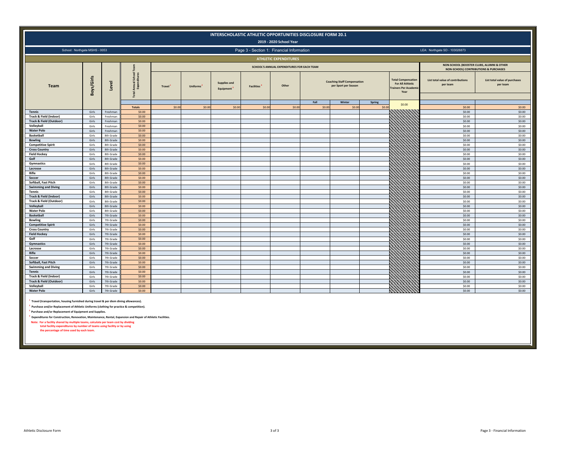|                                                                                                                                                                                                                                                                                                                                                                                                                                                                                                                                                                             |                |                        |                            |        |                 |                           |                   | INTERSCHOLASTIC ATHLETIC OPPORTUNITIES DISCLOSURE FORM 20.1<br>2019 - 2020 School Year |                |                                                            |                  |                                                                                            |                                                                                               |                                           |
|-----------------------------------------------------------------------------------------------------------------------------------------------------------------------------------------------------------------------------------------------------------------------------------------------------------------------------------------------------------------------------------------------------------------------------------------------------------------------------------------------------------------------------------------------------------------------------|----------------|------------------------|----------------------------|--------|-----------------|---------------------------|-------------------|----------------------------------------------------------------------------------------|----------------|------------------------------------------------------------|------------------|--------------------------------------------------------------------------------------------|-----------------------------------------------------------------------------------------------|-------------------------------------------|
| School: Northgate MSHS - 0053                                                                                                                                                                                                                                                                                                                                                                                                                                                                                                                                               |                |                        |                            |        |                 |                           |                   | Page 3 - Section 1: Financial Information                                              |                |                                                            |                  |                                                                                            | LEA: Northgate SD - 103026873                                                                 |                                           |
|                                                                                                                                                                                                                                                                                                                                                                                                                                                                                                                                                                             |                |                        |                            |        |                 |                           |                   | <b>ATHLETIC EXPENDITURES</b>                                                           |                |                                                            |                  |                                                                                            |                                                                                               |                                           |
|                                                                                                                                                                                                                                                                                                                                                                                                                                                                                                                                                                             |                |                        |                            |        |                 |                           |                   | SCHOOL'S ANNUAL EXPENDITURES FOR EACH TEAM                                             |                |                                                            |                  |                                                                                            | NON-SCHOOL (BOOSTER CLUBS, ALUMNI & OTHER<br><b>NON-SCHOOL) CONTRIBUTIONS &amp; PURCHASES</b> |                                           |
| Team                                                                                                                                                                                                                                                                                                                                                                                                                                                                                                                                                                        | Boys/Girls     | Level                  | School<br>Annual<br>Expenc | Travel | <b>Uniforms</b> | Supplies and<br>Equipment | <b>Facilities</b> | Other                                                                                  |                | <b>Coaching Staff Compensation</b><br>per Sport per Season |                  | <b>Total Compensation</b><br><b>For All Athletic</b><br><b>Trainers Per Academ</b><br>Year | List total value of contributions<br>per team                                                 | List total value of purchases<br>per team |
|                                                                                                                                                                                                                                                                                                                                                                                                                                                                                                                                                                             |                |                        | <b>Totals</b>              | \$0.00 | \$0.00          | \$0.00                    | \$0.00            | \$0.00                                                                                 | Fall<br>\$0.00 | Winter<br>\$0.00                                           | Spring<br>\$0.00 | \$0.00                                                                                     | \$0.00                                                                                        | \$0.00                                    |
| Tennis                                                                                                                                                                                                                                                                                                                                                                                                                                                                                                                                                                      | Girls          | Freshman               | \$0.00                     |        |                 |                           |                   |                                                                                        |                |                                                            |                  |                                                                                            | \$0.00                                                                                        | \$0.00                                    |
| Track & Field (Indoor)                                                                                                                                                                                                                                                                                                                                                                                                                                                                                                                                                      | Girls          | Freshman               | \$0.00                     |        |                 |                           |                   |                                                                                        |                |                                                            |                  |                                                                                            | \$0.00                                                                                        | \$0.00                                    |
| <b>Track &amp; Field (Outdoor)</b>                                                                                                                                                                                                                                                                                                                                                                                                                                                                                                                                          | Girls          | Freshman               | \$0.00                     |        |                 |                           |                   |                                                                                        |                |                                                            |                  |                                                                                            | \$0.00                                                                                        | \$0.00                                    |
| Volleyball                                                                                                                                                                                                                                                                                                                                                                                                                                                                                                                                                                  | Girls          | Freshman               | \$0.00                     |        |                 |                           |                   |                                                                                        |                |                                                            |                  |                                                                                            | \$0.00                                                                                        | \$0.00                                    |
| <b>Water Polo</b><br><b>Basketball</b>                                                                                                                                                                                                                                                                                                                                                                                                                                                                                                                                      | Girls<br>Girls | Freshman<br>8th Grade  | \$0.00<br>\$0.00           |        |                 |                           |                   |                                                                                        |                |                                                            |                  |                                                                                            | \$0.00<br>\$0.00                                                                              | \$0.00<br>\$0.00                          |
| <b>Bowling</b>                                                                                                                                                                                                                                                                                                                                                                                                                                                                                                                                                              | Girls          | 8th Grade              | \$0.00                     |        |                 |                           |                   |                                                                                        |                |                                                            |                  |                                                                                            | \$0.00                                                                                        | \$0.00                                    |
| <b>Competitive Spirit</b>                                                                                                                                                                                                                                                                                                                                                                                                                                                                                                                                                   | Girls          | 8th Grade              | \$0.00                     |        |                 |                           |                   |                                                                                        |                |                                                            |                  |                                                                                            | \$0.00                                                                                        | \$0.00                                    |
| <b>Cross Country</b>                                                                                                                                                                                                                                                                                                                                                                                                                                                                                                                                                        | Girls          | 8th Grade              | \$0.00                     |        |                 |                           |                   |                                                                                        |                |                                                            |                  |                                                                                            | \$0.00                                                                                        | \$0.00                                    |
| <b>Field Hockey</b>                                                                                                                                                                                                                                                                                                                                                                                                                                                                                                                                                         | Girls          | 8th Grade              | \$0.00                     |        |                 |                           |                   |                                                                                        |                |                                                            |                  |                                                                                            | \$0.00                                                                                        | \$0.00                                    |
| Golf                                                                                                                                                                                                                                                                                                                                                                                                                                                                                                                                                                        | Girls          | 8th Grade              | \$0.00<br>\$0.00           |        |                 |                           |                   |                                                                                        |                |                                                            |                  |                                                                                            | \$0.00                                                                                        | \$0.00                                    |
| Gymnastics<br>Lacrosse                                                                                                                                                                                                                                                                                                                                                                                                                                                                                                                                                      | Girls<br>Girls | 8th Grade<br>8th Grade | \$0.00                     |        |                 |                           |                   |                                                                                        |                |                                                            |                  |                                                                                            | \$0.00<br>\$0.00                                                                              | \$0.00<br>\$0.00                          |
| Rifle                                                                                                                                                                                                                                                                                                                                                                                                                                                                                                                                                                       | Girls          | 8th Grade              | \$0.00                     |        |                 |                           |                   |                                                                                        |                |                                                            |                  |                                                                                            | \$0.00                                                                                        | \$0.00                                    |
| Soccer                                                                                                                                                                                                                                                                                                                                                                                                                                                                                                                                                                      | Girls          | 8th Grade              | \$0.00                     |        |                 |                           |                   |                                                                                        |                |                                                            |                  |                                                                                            | \$0.00                                                                                        | \$0.00                                    |
| Softball, Fast Pitch                                                                                                                                                                                                                                                                                                                                                                                                                                                                                                                                                        | Girls          | 8th Grade              | \$0.00                     |        |                 |                           |                   |                                                                                        |                |                                                            |                  |                                                                                            | \$0.00                                                                                        | \$0.00                                    |
| <b>Swimming and Diving</b>                                                                                                                                                                                                                                                                                                                                                                                                                                                                                                                                                  | Girls          | 8th Grade              | \$0.00                     |        |                 |                           |                   |                                                                                        |                |                                                            |                  |                                                                                            | \$0.00                                                                                        | \$0.00                                    |
| Tennis                                                                                                                                                                                                                                                                                                                                                                                                                                                                                                                                                                      | Girls          | 8th Grade              | \$0.00                     |        |                 |                           |                   |                                                                                        |                |                                                            |                  |                                                                                            | \$0.00                                                                                        | \$0.00                                    |
| Track & Field (Indoor)<br><b>Track &amp; Field (Outdoor)</b>                                                                                                                                                                                                                                                                                                                                                                                                                                                                                                                | Girls<br>Girls | 8th Grade<br>8th Grade | \$0.00<br>\$0.00           |        |                 |                           |                   |                                                                                        |                |                                                            |                  |                                                                                            | \$0.00<br>\$0.00                                                                              | \$0.00<br>\$0.00                          |
| Volleyball                                                                                                                                                                                                                                                                                                                                                                                                                                                                                                                                                                  | Girls          | 8th Grade              | \$0.00                     |        |                 |                           |                   |                                                                                        |                |                                                            |                  |                                                                                            | \$0.00                                                                                        | \$0.00                                    |
| <b>Water Polo</b>                                                                                                                                                                                                                                                                                                                                                                                                                                                                                                                                                           | Girls          | 8th Grade              | \$0.00                     |        |                 |                           |                   |                                                                                        |                |                                                            |                  |                                                                                            | \$0.00                                                                                        | \$0.00                                    |
| <b>Basketball</b>                                                                                                                                                                                                                                                                                                                                                                                                                                                                                                                                                           | Girls          | 7th Grade              | \$0.00                     |        |                 |                           |                   |                                                                                        |                |                                                            |                  |                                                                                            | \$0.00                                                                                        | \$0.00                                    |
| <b>Bowling</b>                                                                                                                                                                                                                                                                                                                                                                                                                                                                                                                                                              | Girls          | 7th Grade              | \$0.00                     |        |                 |                           |                   |                                                                                        |                |                                                            |                  |                                                                                            | \$0.00                                                                                        | \$0.00                                    |
| <b>Competitive Spirit</b><br><b>Cross Country</b>                                                                                                                                                                                                                                                                                                                                                                                                                                                                                                                           | Girls<br>Girls | 7th Grade<br>7th Grade | \$0.00<br>\$0.00           |        |                 |                           |                   |                                                                                        |                |                                                            |                  |                                                                                            | \$0.00<br>\$0.00                                                                              | \$0.00<br>\$0.00                          |
| <b>Field Hockey</b>                                                                                                                                                                                                                                                                                                                                                                                                                                                                                                                                                         | Girls          | 7th Grade              | \$0.00                     |        |                 |                           |                   |                                                                                        |                |                                                            |                  |                                                                                            | \$0.00                                                                                        | \$0.00                                    |
| Golf                                                                                                                                                                                                                                                                                                                                                                                                                                                                                                                                                                        | Girls          | 7th Grade              | \$0.00                     |        |                 |                           |                   |                                                                                        |                |                                                            |                  |                                                                                            | \$0.00                                                                                        | \$0.00                                    |
| Gymnastics                                                                                                                                                                                                                                                                                                                                                                                                                                                                                                                                                                  | Girls          | 7th Grade              | \$0.00                     |        |                 |                           |                   |                                                                                        |                |                                                            |                  |                                                                                            | \$0.00                                                                                        | \$0.00                                    |
| Lacrosse                                                                                                                                                                                                                                                                                                                                                                                                                                                                                                                                                                    | Girls          | 7th Grade              | \$0.00                     |        |                 |                           |                   |                                                                                        |                |                                                            |                  |                                                                                            | \$0.00                                                                                        | \$0.00                                    |
| Rifle                                                                                                                                                                                                                                                                                                                                                                                                                                                                                                                                                                       | Girls          | 7th Grade              | \$0.00                     |        |                 |                           |                   |                                                                                        |                |                                                            |                  |                                                                                            | \$0.00                                                                                        | \$0.00                                    |
| Soccer<br>Softball, Fast Pitch                                                                                                                                                                                                                                                                                                                                                                                                                                                                                                                                              | Girls<br>Girls | 7th Grade<br>7th Grade | \$0.00<br>\$0.00           |        |                 |                           |                   |                                                                                        |                |                                                            |                  |                                                                                            | \$0.00<br>\$0.00                                                                              | \$0.00<br>\$0.00                          |
| <b>Swimming and Diving</b>                                                                                                                                                                                                                                                                                                                                                                                                                                                                                                                                                  | Girls          | 7th Grade              | \$0.00                     |        |                 |                           |                   |                                                                                        |                |                                                            |                  |                                                                                            | \$0.00                                                                                        | \$0.00                                    |
| Tennis                                                                                                                                                                                                                                                                                                                                                                                                                                                                                                                                                                      | Girls          | 7th Grade              | \$0.00                     |        |                 |                           |                   |                                                                                        |                |                                                            |                  |                                                                                            | \$0.00                                                                                        | \$0.00                                    |
| Track & Field (Indoor)                                                                                                                                                                                                                                                                                                                                                                                                                                                                                                                                                      | Girls          | 7th Grade              | \$0.00                     |        |                 |                           |                   |                                                                                        |                |                                                            |                  |                                                                                            | \$0.00                                                                                        | \$0.00                                    |
| <b>Track &amp; Field (Outdoor)</b>                                                                                                                                                                                                                                                                                                                                                                                                                                                                                                                                          | Girls          | 7th Grade              | \$0.00                     |        |                 |                           |                   |                                                                                        |                |                                                            |                  |                                                                                            | \$0.00                                                                                        | \$0.00                                    |
| Volleyball<br><b>Water Polo</b>                                                                                                                                                                                                                                                                                                                                                                                                                                                                                                                                             | Girls<br>Girls | 7th Grade<br>7th Grade | \$0.00<br>\$0.00           |        |                 |                           |                   |                                                                                        |                |                                                            |                  |                                                                                            | \$0.00<br>\$0.00                                                                              | \$0.00<br>\$0.00                          |
| Travel (transportation, housing furnished during travel & per diem dining allowances).<br>Purchase and/or Replacement of Athletic Uniforms (clothing for practice & competition).<br>Purchase and/or Replacement of Equipment and Supplies.<br>Expenditures for Construction, Renovation, Maintenance, Rental, Expansion and Repair of Athletic Facilities.<br>Note: For a facility shared by multiple teams, calculate per team cost by dividing<br>total facility expenditures by number of teams using facility or by using<br>the percentage of time used by each team. |                |                        |                            |        |                 |                           |                   |                                                                                        |                |                                                            |                  |                                                                                            |                                                                                               |                                           |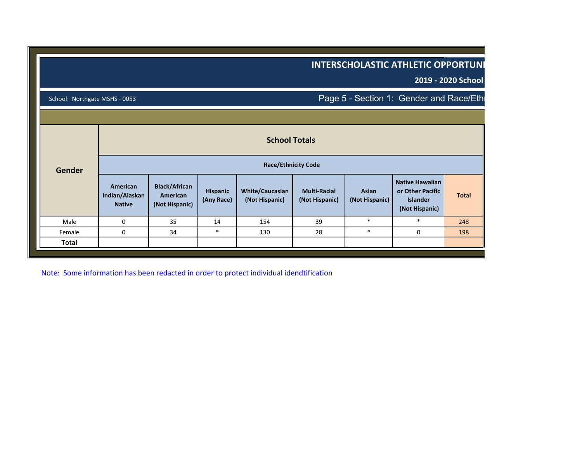|                               |                                             |                                                    |                        |                                          |                                       |                         | <b>INTERSCHOLASTIC ATHLETIC OPPORTUNI</b>                                       | 2019 - 2020 School |
|-------------------------------|---------------------------------------------|----------------------------------------------------|------------------------|------------------------------------------|---------------------------------------|-------------------------|---------------------------------------------------------------------------------|--------------------|
| School: Northgate MSHS - 0053 |                                             |                                                    |                        |                                          |                                       |                         | Page 5 - Section 1: Gender and Race/Eth                                         |                    |
|                               |                                             |                                                    |                        |                                          |                                       |                         |                                                                                 |                    |
|                               |                                             |                                                    |                        | <b>School Totals</b>                     |                                       |                         |                                                                                 |                    |
| Gender                        |                                             |                                                    |                        | <b>Race/Ethnicity Code</b>               |                                       |                         |                                                                                 |                    |
|                               | American<br>Indian/Alaskan<br><b>Native</b> | <b>Black/African</b><br>American<br>(Not Hispanic) | Hispanic<br>(Any Race) | <b>White/Caucasian</b><br>(Not Hispanic) | <b>Multi-Racial</b><br>(Not Hispanic) | Asian<br>(Not Hispanic) | <b>Native Hawaiian</b><br>or Other Pacific<br><b>Islander</b><br>(Not Hispanic) | <b>Total</b>       |
| Male                          | $\mathbf 0$                                 | 35                                                 | 14                     | 154                                      | 39                                    | $\ast$                  | $\ast$                                                                          | 248                |
| Female                        | $\mathbf 0$                                 | 34                                                 | $\ast$                 | 130                                      | 28                                    | $\ast$                  | 0                                                                               | 198                |
| Total                         |                                             |                                                    |                        |                                          |                                       |                         |                                                                                 |                    |

Note: Some information has been redacted in order to protect individual idendtification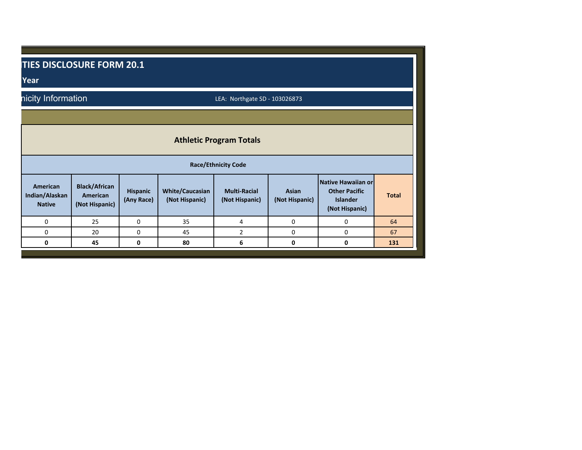| Year                                        | TIES DISCLOSURE FORM 20.1                          |                        |                                          |                                                              |                         |                                                                          |              |
|---------------------------------------------|----------------------------------------------------|------------------------|------------------------------------------|--------------------------------------------------------------|-------------------------|--------------------------------------------------------------------------|--------------|
| nicity Information                          |                                                    |                        |                                          | LEA: Northgate SD - 103026873                                |                         |                                                                          |              |
|                                             |                                                    |                        |                                          | <b>Athletic Program Totals</b><br><b>Race/Ethnicity Code</b> |                         |                                                                          |              |
| American<br>Indian/Alaskan<br><b>Native</b> | <b>Black/African</b><br>American<br>(Not Hispanic) | Hispanic<br>(Any Race) | <b>White/Caucasian</b><br>(Not Hispanic) | <b>Multi-Racial</b><br>(Not Hispanic)                        | Asian<br>(Not Hispanic) | Native Hawaiian or<br><b>Other Pacific</b><br>Islander<br>(Not Hispanic) | <b>Total</b> |
| $\Omega$                                    | 25                                                 | $\mathbf 0$            | 35                                       | 4                                                            | $\mathbf 0$             | $\Omega$                                                                 | 64           |
| $\Omega$                                    | 20                                                 | $\mathbf 0$            | 45                                       | $\overline{2}$                                               | $\mathbf{0}$            | $\mathbf 0$                                                              | 67           |
| 0                                           | 45                                                 | $\mathbf 0$            | 80                                       | 6                                                            | 0                       | 0                                                                        | 131          |